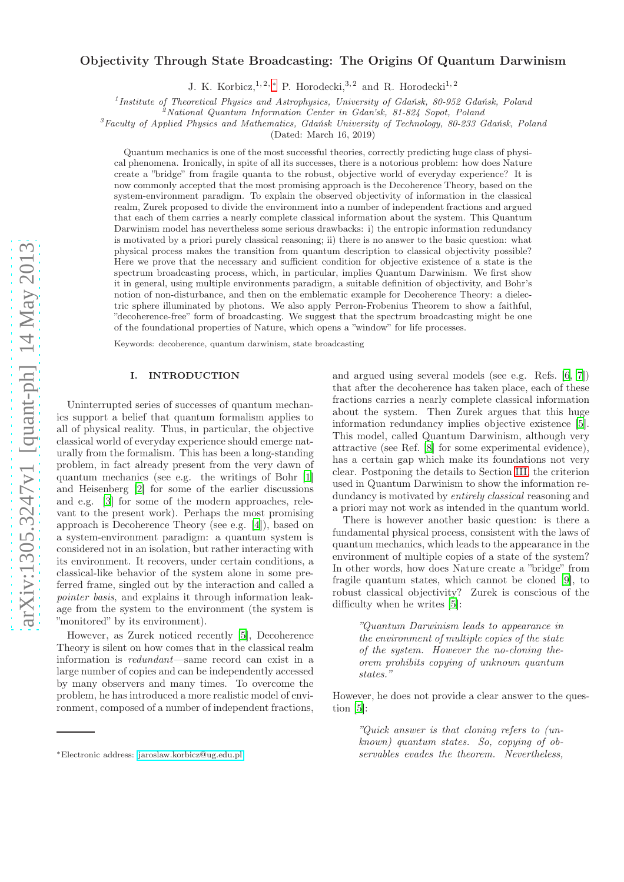# Objectivity Through State Broadcasting: The Origins Of Quantum Darwinism

J. K. Korbicz, <sup>1, 2, \*</sup> P. Horodecki, <sup>3, 2</sup> and R. Horodecki<sup>1, 2</sup>

<sup>1</sup> Institute of Theoretical Physics and Astrophysics, University of Gdańsk, 80-952 Gdańsk, Poland

<sup>2</sup>National Quantum Information Center in Gdan'sk, 81-824 Sopot, Poland

 ${}^{3}$ Faculty of Applied Physics and Mathematics, Gdańsk University of Technology, 80-233 Gdańsk, Poland

(Dated: March 16, 2019)

Quantum mechanics is one of the most successful theories, correctly predicting huge class of physical phenomena. Ironically, in spite of all its successes, there is a notorious problem: how does Nature create a "bridge" from fragile quanta to the robust, objective world of everyday experience? It is now commonly accepted that the most promising approach is the Decoherence Theory, based on the system-environment paradigm. To explain the observed objectivity of information in the classical realm, Zurek proposed to divide the environment into a number of independent fractions and argued that each of them carries a nearly complete classical information about the system. This Quantum Darwinism model has nevertheless some serious drawbacks: i) the entropic information redundancy is motivated by a priori purely classical reasoning; ii) there is no answer to the basic question: what physical process makes the transition from quantum description to classical objectivity possible? Here we prove that the necessary and sufficient condition for objective existence of a state is the spectrum broadcasting process, which, in particular, implies Quantum Darwinism. We first show it in general, using multiple environments paradigm, a suitable definition of objectivity, and Bohr's notion of non-disturbance, and then on the emblematic example for Decoherence Theory: a dielectric sphere illuminated by photons. We also apply Perron-Frobenius Theorem to show a faithful, "decoherence-free" form of broadcasting. We suggest that the spectrum broadcasting might be one of the foundational properties of Nature, which opens a "window" for life processes.

Keywords: decoherence, quantum darwinism, state broadcasting

### I. INTRODUCTION

Uninterrupted series of successes of quantum mechanics support a belief that quantum formalism applies to all of physical reality. Thus, in particular, the objective classical world of everyday experience should emerge naturally from the formalism. This has been a long-standing problem, in fact already present from the very dawn of quantum mechanics (see e.g. the writings of Bohr [\[1](#page-12-0)] and Heisenberg [\[2\]](#page-13-0) for some of the earlier discussions and e.g. [\[3\]](#page-13-1) for some of the modern approaches, relevant to the present work). Perhaps the most promising approach is Decoherence Theory (see e.g. [\[4\]](#page-13-2)), based on a system-environment paradigm: a quantum system is considered not in an isolation, but rather interacting with its environment. It recovers, under certain conditions, a classical-like behavior of the system alone in some preferred frame, singled out by the interaction and called a pointer basis, and explains it through information leakage from the system to the environment (the system is "monitored" by its environment).

However, as Zurek noticed recently [\[5\]](#page-13-3), Decoherence Theory is silent on how comes that in the classical realm information is redundant—same record can exist in a large number of copies and can be independently accessed by many observers and many times. To overcome the problem, he has introduced a more realistic model of environment, composed of a number of independent fractions, and argued using several models (see e.g. Refs. [\[6](#page-13-4), [7](#page-13-5)]) that after the decoherence has taken place, each of these fractions carries a nearly complete classical information about the system. Then Zurek argues that this huge information redundancy implies objective existence [\[5\]](#page-13-3). This model, called Quantum Darwinism, although very attractive (see Ref. [\[8\]](#page-13-6) for some experimental evidence), has a certain gap which make its foundations not very clear. Postponing the details to Section [III,](#page-4-0) the criterion used in Quantum Darwinism to show the information redundancy is motivated by *entirely classical* reasoning and a priori may not work as intended in the quantum world.

There is however another basic question: is there a fundamental physical process, consistent with the laws of quantum mechanics, which leads to the appearance in the environment of multiple copies of a state of the system? In other words, how does Nature create a "bridge" from fragile quantum states, which cannot be cloned [\[9\]](#page-13-7), to robust classical objectivity? Zurek is conscious of the difficulty when he writes [\[5\]](#page-13-3):

"Quantum Darwinism leads to appearance in the environment of multiple copies of the state of the system. However the no-cloning theorem prohibits copying of unknown quantum states."

However, he does not provide a clear answer to the question [\[5](#page-13-3)]:

"Quick answer is that cloning refers to (unknown) quantum states. So, copying of observables evades the theorem. Nevertheless,

<span id="page-0-0"></span><sup>∗</sup>Electronic address: [jaroslaw.korbicz@ug.edu.pl](mailto:jaroslaw.korbicz@ug.edu.pl)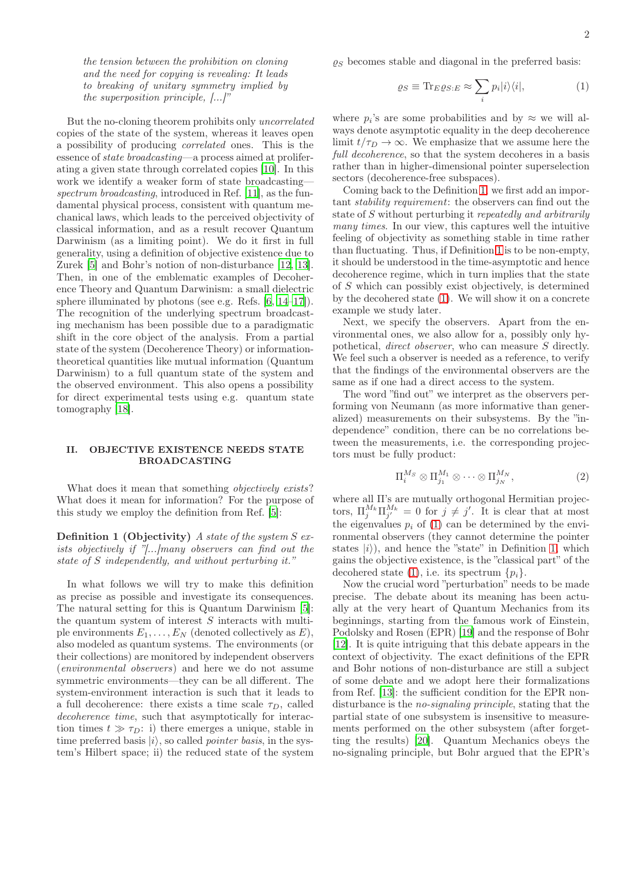the tension between the prohibition on cloning and the need for copying is revealing: It leads to breaking of unitary symmetry implied by the superposition principle, [...]"

But the no-cloning theorem prohibits only uncorrelated copies of the state of the system, whereas it leaves open a possibility of producing correlated ones. This is the essence of state broadcasting—a process aimed at proliferating a given state through correlated copies [\[10](#page-13-8)]. In this work we identify a weaker form of state broadcasting— spectrum broadcasting, introduced in Ref. [\[11\]](#page-13-9), as the fundamental physical process, consistent with quantum mechanical laws, which leads to the perceived objectivity of classical information, and as a result recover Quantum Darwinism (as a limiting point). We do it first in full generality, using a definition of objective existence due to Zurek [\[5\]](#page-13-3) and Bohr's notion of non-disturbance [\[12](#page-13-10), [13\]](#page-13-11). Then, in one of the emblematic examples of Decoherence Theory and Quantum Darwinism: a small dielectric sphere illuminated by photons (see e.g. Refs. [\[6,](#page-13-4) [14](#page-13-12)[–17\]](#page-13-13)). The recognition of the underlying spectrum broadcasting mechanism has been possible due to a paradigmatic shift in the core object of the analysis. From a partial state of the system (Decoherence Theory) or informationtheoretical quantities like mutual information (Quantum Darwinism) to a full quantum state of the system and the observed environment. This also opens a possibility for direct experimental tests using e.g. quantum state tomography [\[18](#page-13-14)].

### <span id="page-1-3"></span>II. OBJECTIVE EXISTENCE NEEDS STATE BROADCASTING

What does it mean that something *objectively exists*? What does it mean for information? For the purpose of this study we employ the definition from Ref. [\[5\]](#page-13-3):

**Definition 1 (Objectivity)** A state of the system  $S$  exists objectively if "[...]many observers can find out the state of S independently, and without perturbing it."

In what follows we will try to make this definition as precise as possible and investigate its consequences. The natural setting for this is Quantum Darwinism [\[5\]](#page-13-3): the quantum system of interest S interacts with multiple environments  $E_1, \ldots, E_N$  (denoted collectively as  $E$ ), also modeled as quantum systems. The environments (or their collections) are monitored by independent observers (environmental observers) and here we do not assume symmetric environments—they can be all different. The system-environment interaction is such that it leads to a full decoherence: there exists a time scale  $\tau_D$ , called decoherence time, such that asymptotically for interaction times  $t \gg \tau_D$ : i) there emerges a unique, stable in time preferred basis  $|i\rangle$ , so called *pointer basis*, in the system's Hilbert space; ii) the reduced state of the system  $\rho_S$  becomes stable and diagonal in the preferred basis:

<span id="page-1-1"></span>
$$
\varrho_S \equiv \text{Tr}_{E}\varrho_{S:E} \approx \sum_{i} p_i |i\rangle\langle i|,\tag{1}
$$

where  $p_i$ 's are some probabilities and by  $\approx$  we will always denote asymptotic equality in the deep decoherence limit  $t/\tau_D \rightarrow \infty$ . We emphasize that we assume here the full decoherence, so that the system decoheres in a basis rather than in higher-dimensional pointer superselection sectors (decoherence-free subspaces).

Coming back to the Definition [1,](#page-1-0) we first add an important stability requirement: the observers can find out the state of S without perturbing it repeatedly and arbitrarily many times. In our view, this captures well the intuitive feeling of objectivity as something stable in time rather than fluctuating. Thus, if Definition [1](#page-1-0) is to be non-empty, it should be understood in the time-asymptotic and hence decoherence regime, which in turn implies that the state of S which can possibly exist objectively, is determined by the decohered state [\(1\)](#page-1-1). We will show it on a concrete example we study later.

Next, we specify the observers. Apart from the environmental ones, we also allow for a, possibly only hypothetical, direct observer, who can measure S directly. We feel such a observer is needed as a reference, to verify that the findings of the environmental observers are the same as if one had a direct access to the system.

The word "find out" we interpret as the observers performing von Neumann (as more informative than generalized) measurements on their subsystems. By the "independence" condition, there can be no correlations between the measurements, i.e. the corresponding projectors must be fully product:

<span id="page-1-2"></span>
$$
\Pi_i^{M_S} \otimes \Pi_{j_1}^{M_1} \otimes \cdots \otimes \Pi_{j_N}^{M_N}, \qquad (2)
$$

<span id="page-1-0"></span>where all Π's are mutually orthogonal Hermitian projectors,  $\Pi_j^{M_k} \Pi_{j'}^{M_k} = 0$  for  $j \neq j'$ . It is clear that at most the eigenvalues  $p_i$  of [\(1\)](#page-1-1) can be determined by the environmental observers (they cannot determine the pointer states  $|i\rangle$ , and hence the "state" in Definition [1,](#page-1-0) which gains the objective existence, is the "classical part" of the decohered state [\(1\)](#page-1-1), i.e. its spectrum  $\{p_i\}$ .

Now the crucial word "perturbation" needs to be made precise. The debate about its meaning has been actually at the very heart of Quantum Mechanics from its beginnings, starting from the famous work of Einstein, Podolsky and Rosen (EPR) [\[19](#page-13-15)] and the response of Bohr [\[12\]](#page-13-10). It is quite intriguing that this debate appears in the context of objectivity. The exact definitions of the EPR and Bohr notions of non-disturbance are still a subject of some debate and we adopt here their formalizations from Ref. [\[13](#page-13-11)]: the sufficient condition for the EPR nondisturbance is the *no-signaling principle*, stating that the partial state of one subsystem is insensitive to measurements performed on the other subsystem (after forgetting the results) [\[20\]](#page-13-16). Quantum Mechanics obeys the no-signaling principle, but Bohr argued that the EPR's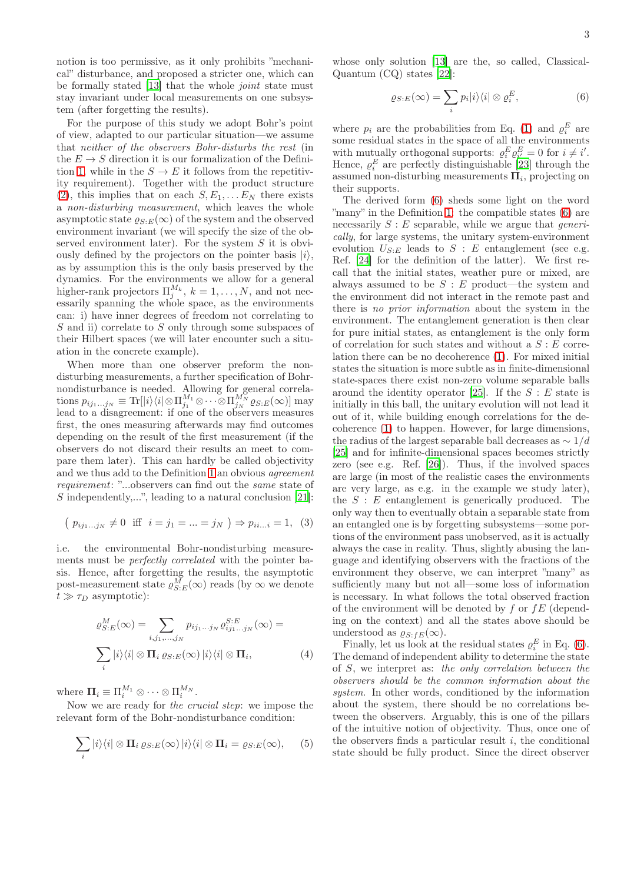notion is too permissive, as it only prohibits "mechanical" disturbance, and proposed a stricter one, which can be formally stated [\[13\]](#page-13-11) that the whole joint state must stay invariant under local measurements on one subsystem (after forgetting the results).

For the purpose of this study we adopt Bohr's point of view, adapted to our particular situation—we assume that neither of the observers Bohr-disturbs the rest (in the  $E \to S$  direction it is our formalization of the Defini-tion [1,](#page-1-0) while in the  $S \to E$  it follows from the repetitivity requirement). Together with the product structure [\(2\)](#page-1-2), this implies that on each  $S, E_1, \ldots E_N$  there exists a non-disturbing measurement, which leaves the whole asymptotic state  $\varrho_{S:E}(\infty)$  of the system and the observed environment invariant (we will specify the size of the observed environment later). For the system  $S$  it is obviously defined by the projectors on the pointer basis  $|i\rangle$ , as by assumption this is the only basis preserved by the dynamics. For the environments we allow for a general higher-rank projectors  $\Pi_j^{M_k}$ ,  $k = 1, ..., N$ , and not necessarily spanning the whole space, as the environments can: i) have inner degrees of freedom not correlating to S and ii) correlate to S only through some subspaces of their Hilbert spaces (we will later encounter such a situation in the concrete example).

When more than one observer preform the nondisturbing measurements, a further specification of Bohrnondisturbance is needed. Allowing for general correlations  $p_{ij_1...j_N} \equiv \text{Tr} [ |i\rangle\langle i| \otimes \Pi^{M_1}_{j_1} \otimes \cdots \otimes \Pi^{M_N}_{j_N} \varrho_{S:E}(\infty) ]$  may lead to a disagreement: if one of the observers measures first, the ones measuring afterwards may find outcomes depending on the result of the first measurement (if the observers do not discard their results an meet to compare them later). This can hardly be called objectivity and we thus add to the Definition [1](#page-1-0) an obvious agreement requirement: "...observers can find out the same state of S independently,...", leading to a natural conclusion [\[21\]](#page-13-17):

$$
(p_{ij_1...j_N} \neq 0 \text{ iff } i = j_1 = ... = j_N) \Rightarrow p_{ii...i} = 1, (3)
$$

i.e. the environmental Bohr-nondisturbing measurements must be perfectly correlated with the pointer basis. Hence, after forgetting the results, the asymptotic post-measurement state  $\varrho_{S:E}^{M}(\infty)$  reads (by  $\infty$  we denote  $t \gg \tau_D$  asymptotic):

$$
\rho_{S:E}^{M}(\infty) = \sum_{i,j_1,\dots,j_N} p_{ij_1\dots j_N} \rho_{ij_1\dots j_N}^{S:E}(\infty) =
$$

$$
\sum_{i} |i\rangle\langle i| \otimes \mathbf{\Pi}_{i} \varrho_{S:E}(\infty) |i\rangle\langle i| \otimes \mathbf{\Pi}_{i}, \tag{4}
$$

where  $\mathbf{\Pi}_i \equiv \Pi_i^{M_1} \otimes \cdots \otimes \Pi_i^{M_N}$ .

Now we are ready for the crucial step: we impose the relevant form of the Bohr-nondisturbance condition:

<span id="page-2-1"></span>
$$
\sum_{i} |i\rangle\langle i| \otimes \Pi_{i} \varrho_{S:E}(\infty) |i\rangle\langle i| \otimes \Pi_{i} = \varrho_{S:E}(\infty), \qquad (5)
$$

whose only solution [\[13\]](#page-13-11) are the, so called, Classical-Quantum (CQ) states [\[22\]](#page-13-18):

<span id="page-2-0"></span>
$$
\varrho_{S:E}(\infty) = \sum_{i} p_i |i\rangle\langle i| \otimes \varrho_i^E,\tag{6}
$$

where  $p_i$  are the probabilities from Eq. [\(1\)](#page-1-1) and  $\varrho_i^E$  are some residual states in the space of all the environments with mutually orthogonal supports:  $\rho_i^E \rho_{i'}^E = 0$  for  $i \neq i'$ . Hence,  $\varrho_i^E$  are perfectly distinguishable [\[23](#page-13-19)] through the assumed non-disturbing measurements  $\Pi_i$ , projecting on their supports.

The derived form [\(6\)](#page-2-0) sheds some light on the word "many" in the Definition [1:](#page-1-0) the compatible states [\(6\)](#page-2-0) are necessarily  $S : E$  separable, while we argue that *generi*cally, for large systems, the unitary system-environment evolution  $U_{S:E}$  leads to  $S:E$  entanglement (see e.g. Ref. [\[24\]](#page-13-20) for the definition of the latter). We first recall that the initial states, weather pure or mixed, are always assumed to be  $S : E$  product—the system and the environment did not interact in the remote past and there is no prior information about the system in the environment. The entanglement generation is then clear for pure initial states, as entanglement is the only form of correlation for such states and without a  $S : E$  correlation there can be no decoherence [\(1\)](#page-1-1). For mixed initial states the situation is more subtle as in finite-dimensional state-spaces there exist non-zero volume separable balls around the identity operator [\[25\]](#page-13-21). If the  $S : E$  state is initially in this ball, the unitary evolution will not lead it out of it, while building enough correlations for the decoherence [\(1\)](#page-1-1) to happen. However, for large dimensions, the radius of the largest separable ball decreases as  $\sim 1/d$ [\[25\]](#page-13-21) and for infinite-dimensional spaces becomes strictly zero (see e.g. Ref. [\[26\]](#page-13-22)). Thus, if the involved spaces are large (in most of the realistic cases the environments are very large, as e.g. in the example we study later), the  $S : E$  entanglement is generically produced. The only way then to eventually obtain a separable state from an entangled one is by forgetting subsystems—some portions of the environment pass unobserved, as it is actually always the case in reality. Thus, slightly abusing the language and identifying observers with the fractions of the environment they observe, we can interpret "many" as sufficiently many but not all—some loss of information is necessary. In what follows the total observed fraction of the environment will be denoted by f or  $fE$  (depending on the context) and all the states above should be understood as  $\varrho_{S:FE}(\infty)$ .

<span id="page-2-2"></span>Finally, let us look at the residual states  $\rho_i^E$  in Eq. [\(6\)](#page-2-0). The demand of independent ability to determine the state of S, we interpret as: the only correlation between the observers should be the common information about the system. In other words, conditioned by the information about the system, there should be no correlations between the observers. Arguably, this is one of the pillars of the intuitive notion of objectivity. Thus, once one of the observers finds a particular result  $i$ , the conditional state should be fully product. Since the direct observer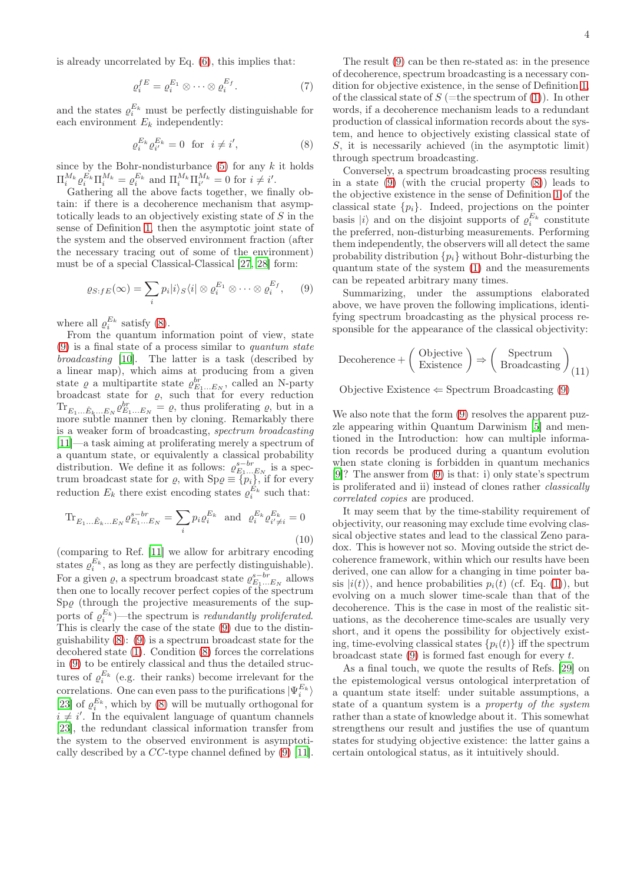is already uncorrelated by Eq. [\(6\)](#page-2-0), this implies that:

$$
\varrho_i^{fE} = \varrho_i^{E_1} \otimes \cdots \otimes \varrho_i^{E_f}.
$$
 (7)

and the states  $\varrho_i^{E_k}$  must be perfectly distinguishable for each environment  $E_k$  independently:

<span id="page-3-0"></span>
$$
\varrho_i^{E_k} \varrho_{i'}^{E_k} = 0 \quad \text{for} \quad i \neq i', \tag{8}
$$

since by the Bohr-nondisturbance  $(5)$  for any k it holds  $\Pi_{i}^{M_k} \varrho_i^{E_k} \Pi_i^{M_k} = \varrho_i^{E_k}$  and  $\Pi_{i}^{M_k} \Pi_{i'}^{M_k} = 0$  for  $i \neq i'.$ 

Gathering all the above facts together, we finally obtain: if there is a decoherence mechanism that asymptotically leads to an objectively existing state of S in the sense of Definition [1,](#page-1-0) then the asymptotic joint state of the system and the observed environment fraction (after the necessary tracing out of some of the environment) must be of a special Classical-Classical [\[27](#page-13-23), [28](#page-13-24)] form:

$$
\varrho_{S:fE}(\infty) = \sum_{i} p_i |i\rangle_S \langle i| \otimes \varrho_i^{E_1} \otimes \cdots \otimes \varrho_i^{E_f}, \qquad (9)
$$

where all  $\varrho_i^{E_k}$  satisfy [\(8\)](#page-3-0).

From the quantum information point of view, state  $(9)$  is a final state of a process similar to quantum state broadcasting [\[10\]](#page-13-8). The latter is a task (described by a linear map), which aims at producing from a given state  $\varrho$  a multipartite state  $\varrho_{E_1...E_N}^{br}$ , called an N-party broadcast state for  $\varrho$ , such that for every reduction  $\text{Tr}_{E_1...E_k...E_N} \varrho_{E_1...E_N}^{br} = \varrho$ , thus proliferating  $\varrho$ , but in a more subtle manner then by cloning. Remarkably there is a weaker form of broadcasting, spectrum broadcasting [\[11\]](#page-13-9)—a task aiming at proliferating merely a spectrum of a quantum state, or equivalently a classical probability distribution. We define it as follows:  $\varrho_{E_1...E_N}^{s-br}$  is a spectrum broadcast state for  $\varrho$ , with  $Sp\varrho \equiv \{p_i\}$ , if for every reduction  $E_k$  there exist encoding states  $\varrho_i^{E_k}$  such that:

$$
\text{Tr}_{E_1...E_k...E_N} \varrho_{E_1...E_N}^{s-br} = \sum_i p_i \varrho_i^{E_k} \text{ and } \varrho_i^{E_k} \varrho_{i' \neq i}^{E_k} = 0
$$
\n(10)

(comparing to Ref. [\[11\]](#page-13-9) we allow for arbitrary encoding states  $\rho_i^{E_k}$ , as long as they are perfectly distinguishable). For a given  $\rho$ , a spectrum broadcast state  $\rho_{E_1...E_N}^{s-br}$  allows then one to locally recover perfect copies of the spectrum  $Sp\varrho$  (through the projective measurements of the supports of  $\rho_i^{E_k}$ )—the spectrum is *redundantly proliferated*. This is clearly the case of the state [\(9\)](#page-3-1) due to the distinguishability [\(8\)](#page-3-0): [\(9\)](#page-3-1) is a spectrum broadcast state for the decohered state [\(1\)](#page-1-1). Condition [\(8\)](#page-3-0) forces the correlations in [\(9\)](#page-3-1) to be entirely classical and thus the detailed structures of  $\varrho_i^{E_k}$  (e.g. their ranks) become irrelevant for the correlations. One can even pass to the purifications  $|\Psi_i^{E_k}\rangle$ [\[23\]](#page-13-19) of  $\varrho_i^{E_k}$ , which by [\(8\)](#page-3-0) will be mutually orthogonal for  $i \neq i'$ . In the equivalent language of quantum channels [\[23\]](#page-13-19), the redundant classical information transfer from the system to the observed environment is asymptotically described by a CC-type channel defined by [\(9\)](#page-3-1) [\[11\]](#page-13-9).

words, if a decoherence mechanism leads to a redundant production of classical information records about the system, and hence to objectively existing classical state of S, it is necessarily achieved (in the asymptotic limit) through spectrum broadcasting.

Conversely, a spectrum broadcasting process resulting in a state [\(9\)](#page-3-1) (with the crucial property [\(8\)](#page-3-0)) leads to the objective existence in the sense of Definition [1](#page-1-0) of the classical state  $\{p_i\}$ . Indeed, projections on the pointer basis  $|i\rangle$  and on the disjoint supports of  $\varrho_i^{E_k}$  constitute the preferred, non-disturbing measurements. Performing them independently, the observers will all detect the same probability distribution  $\{p_i\}$  without Bohr-disturbing the quantum state of the system [\(1\)](#page-1-1) and the measurements can be repeated arbitrary many times.

<span id="page-3-1"></span>Summarizing, under the assumptions elaborated above, we have proven the following implications, identifying spectrum broadcasting as the physical process responsible for the appearance of the classical objectivity:

<span id="page-3-2"></span>
$$
\text{Decoherence} + \left(\begin{array}{c} \text{Objective} \\ \text{Existence} \end{array}\right) \Rightarrow \left(\begin{array}{c} \text{Spectrum} \\ \text{ Broadcasting} \end{array}\right)_{(11)}
$$

Objective Existence  $\Leftarrow$  Spectrum Broadcasting [\(9\)](#page-3-1)

We also note that the form  $(9)$  resolves the apparent puzzle appearing within Quantum Darwinism [\[5](#page-13-3)] and mentioned in the Introduction: how can multiple information records be produced during a quantum evolution when state cloning is forbidden in quantum mechanics [\[9\]](#page-13-7)? The answer from [\(9\)](#page-3-1) is that: i) only state's spectrum is proliferated and ii) instead of clones rather classically correlated copies are produced.

It may seem that by the time-stability requirement of objectivity, our reasoning may exclude time evolving classical objective states and lead to the classical Zeno paradox. This is however not so. Moving outside the strict decoherence framework, within which our results have been derived, one can allow for a changing in time pointer basis  $|i(t)\rangle$ , and hence probabilities  $p_i(t)$  (cf. Eq. [\(1\)](#page-1-1)), but evolving on a much slower time-scale than that of the decoherence. This is the case in most of the realistic situations, as the decoherence time-scales are usually very short, and it opens the possibility for objectively existing, time-evolving classical states  $\{p_i(t)\}\$ iff the spectrum broadcast state  $(9)$  is formed fast enough for every t.

As a final touch, we quote the results of Refs. [\[29](#page-13-25)] on the epistemological versus ontological interpretation of a quantum state itself: under suitable assumptions, a state of a quantum system is a property of the system rather than a state of knowledge about it. This somewhat strengthens our result and justifies the use of quantum states for studying objective existence: the latter gains a certain ontological status, as it intuitively should.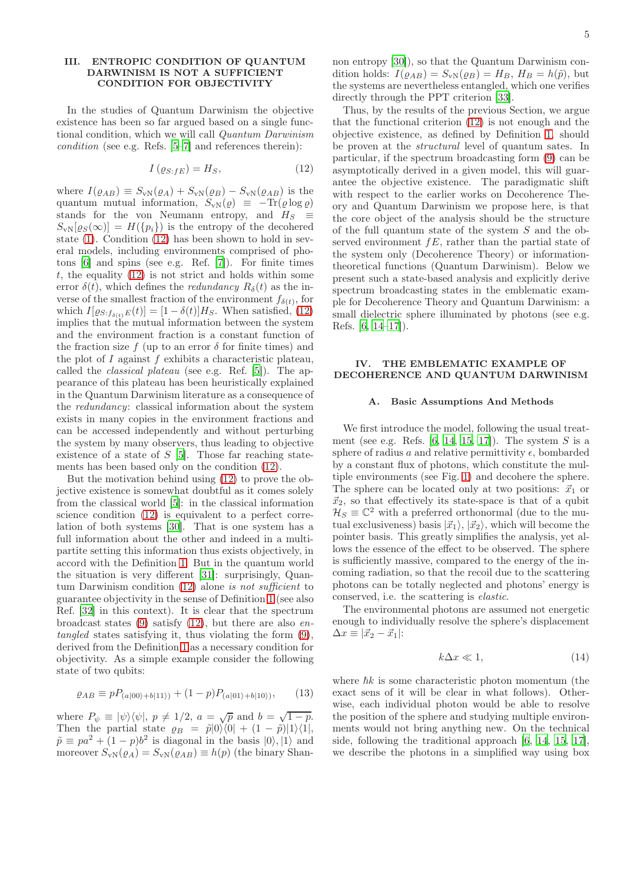### <span id="page-4-0"></span>III. ENTROPIC CONDITION OF QUANTUM DARWINISM IS NOT A SUFFICIENT CONDITION FOR OBJECTIVITY

In the studies of Quantum Darwinism the objective existence has been so far argued based on a single functional condition, which we will call Quantum Darwinism condition (see e.g. Refs. [\[5](#page-13-3)[–7\]](#page-13-5) and references therein):

$$
I\left(\varrho_{S:fE}\right) = H_S,\tag{12}
$$

where  $I(\varrho_{AB}) \equiv S_{\rm vN}(\varrho_A) + S_{\rm vN}(\varrho_B) - S_{\rm vN}(\varrho_{AB})$  is the quantum mutual information,  $S_{\rm vN}(\varrho) \equiv -\text{Tr}(\varrho \log \varrho)$ stands for the von Neumann entropy, and  $H_S \equiv$  $S_{\rm vN}[\varrho_S(\infty)] = H(\{p_i\})$  is the entropy of the decohered state [\(1\)](#page-1-1). Condition [\(12\)](#page-4-1) has been shown to hold in several models, including environments comprised of photons [\[6\]](#page-13-4) and spins (see e.g. Ref. [\[7\]](#page-13-5)). For finite times t, the equality  $(12)$  is not strict and holds within some error  $\delta(t)$ , which defines the *redundancy*  $R_{\delta}(t)$  as the inverse of the smallest fraction of the environment  $f_{\delta(t)}$ , for which  $I[\varrho_{S:f_{\delta(t)}E}(t)] = [1 - \delta(t)]H_S$ . When satisfied, [\(12\)](#page-4-1) implies that the mutual information between the system and the environment fraction is a constant function of the fraction size f (up to an error  $\delta$  for finite times) and the plot of  $I$  against  $f$  exhibits a characteristic plateau, called the classical plateau (see e.g. Ref. [\[5\]](#page-13-3)). The appearance of this plateau has been heuristically explained in the Quantum Darwinism literature as a consequence of the redundancy: classical information about the system exists in many copies in the environment fractions and can be accessed independently and without perturbing the system by many observers, thus leading to objective existence of a state of S [\[5\]](#page-13-3). Those far reaching statements has been based only on the condition [\(12\)](#page-4-1).

But the motivation behind using [\(12\)](#page-4-1) to prove the objective existence is somewhat doubtful as it comes solely from the classical world [\[5\]](#page-13-3): in the classical information science condition [\(12\)](#page-4-1) is equivalent to a perfect correlation of both systems [\[30](#page-13-26)]. That is one system has a full information about the other and indeed in a multipartite setting this information thus exists objectively, in accord with the Definition [1.](#page-1-0) But in the quantum world the situation is very different [\[31](#page-13-27)]: surprisingly, Quantum Darwinism condition [\(12\)](#page-4-1) alone is not sufficient to guarantee objectivity in the sense of Definition [1](#page-1-0) (see also Ref. [\[32](#page-13-28)] in this context). It is clear that the spectrum broadcast states  $(9)$  satisfy  $(12)$ , but there are also *en*tangled states satisfying it, thus violating the form [\(9\)](#page-3-1), derived from the Definition [1](#page-1-0) as a necessary condition for objectivity. As a simple example consider the following state of two qubits:

$$
\varrho_{AB} \equiv pP_{(a|00\rangle + b|11\rangle)} + (1-p)P_{(a|01\rangle + b|10\rangle)},\tag{13}
$$

where  $P_{\psi} \equiv |\psi\rangle\langle\psi|, p \neq 1/2, a = \sqrt{p}$  and  $b = \sqrt{1-p}$ . Then the partial state  $\varrho_B = \tilde{p}|0\rangle\langle 0| + (1 - \tilde{p})|1\rangle\langle 1|,$  $\tilde{p} \equiv pa^2 + (1-p)b^2$  is diagonal in the basis  $|0\rangle, |1\rangle$  and moreover  $S_{\rm vN}(\rho_A) = S_{\rm vN}(\rho_{AB}) \equiv h(p)$  (the binary Shannon entropy [\[30](#page-13-26)]), so that the Quantum Darwinism condition holds:  $I(\varrho_{AB}) = S_{\scriptscriptstyle{\text{vN}}}(\varrho_B) = H_B, H_B = h(\tilde{p})$ , but the systems are nevertheless entangled, which one verifies directly through the PPT criterion [\[33\]](#page-13-29).

<span id="page-4-1"></span>Thus, by the results of the previous Section, we argue that the functional criterion [\(12\)](#page-4-1) is not enough and the objective existence, as defined by Definition [1,](#page-1-0) should be proven at the structural level of quantum sates. In particular, if the spectrum broadcasting form [\(9\)](#page-3-1) can be asymptotically derived in a given model, this will guarantee the objective existence. The paradigmatic shift with respect to the earlier works on Decoherence Theory and Quantum Darwinism we propose here, is that the core object of the analysis should be the structure of the full quantum state of the system S and the observed environment  $fE$ , rather than the partial state of the system only (Decoherence Theory) or informationtheoretical functions (Quantum Darwinism). Below we present such a state-based analysis and explicitly derive spectrum broadcasting states in the emblematic example for Decoherence Theory and Quantum Darwinism: a small dielectric sphere illuminated by photons (see e.g. Refs. [\[6,](#page-13-4) [14](#page-13-12)[–17\]](#page-13-13)).

# IV. THE EMBLEMATIC EXAMPLE OF DECOHERENCE AND QUANTUM DARWINISM

#### A. Basic Assumptions And Methods

We first introduce the model, following the usual treatment (see e.g. Refs.  $[6, 14, 15, 17]$  $[6, 14, 15, 17]$  $[6, 14, 15, 17]$  $[6, 14, 15, 17]$ ). The system S is a sphere of radius a and relative permittivity  $\epsilon$ , bombarded by a constant flux of photons, which constitute the multiple environments (see Fig. [1\)](#page-5-0) and decohere the sphere. The sphere can be located only at two positions:  $\vec{x}_1$  or  $\vec{x}_2$ , so that effectively its state-space is that of a qubit  $\mathcal{H}_S \equiv \mathbb{C}^2$  with a preferred orthonormal (due to the mutual exclusiveness) basis  $|\vec{x}_1\rangle$ ,  $|\vec{x}_2\rangle$ , which will become the pointer basis. This greatly simplifies the analysis, yet allows the essence of the effect to be observed. The sphere is sufficiently massive, compared to the energy of the incoming radiation, so that the recoil due to the scattering photons can be totally neglected and photons' energy is conserved, i.e. the scattering is elastic.

The environmental photons are assumed not energetic enough to individually resolve the sphere's displacement  $\Delta x \equiv |\vec{x}_2 - \vec{x}_1|$ :

<span id="page-4-2"></span>
$$
k\Delta x \ll 1,\tag{14}
$$

where  $\hbar k$  is some characteristic photon momentum (the exact sens of it will be clear in what follows). Otherwise, each individual photon would be able to resolve the position of the sphere and studying multiple environments would not bring anything new. On the technical side, following the traditional approach [\[6,](#page-13-4) [14](#page-13-12), [15,](#page-13-30) [17\]](#page-13-13), we describe the photons in a simplified way using box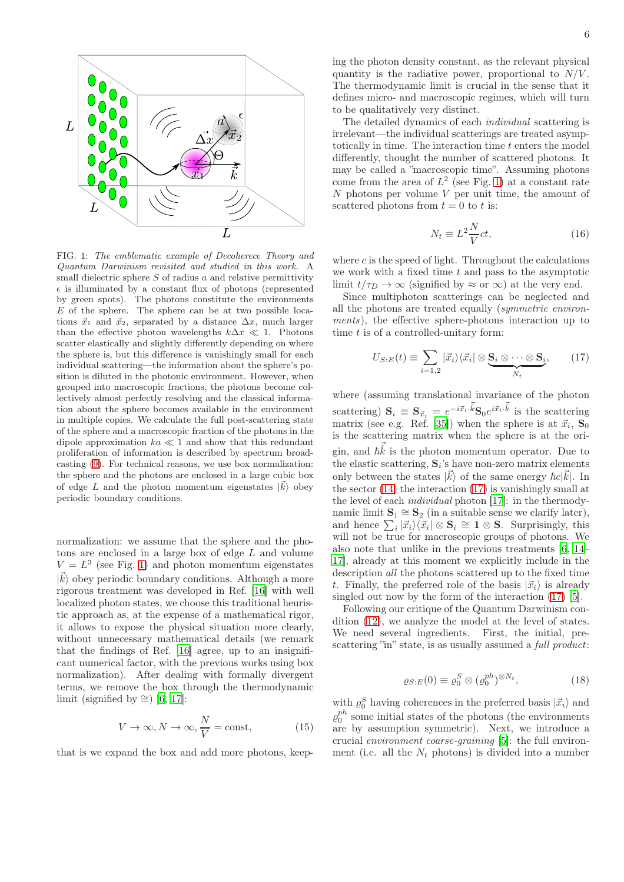

<span id="page-5-0"></span>FIG. 1: The emblematic example of Decoherece Theory and Quantum Darwinism revisited and studied in this work. A small dielectric sphere  $S$  of radius  $a$  and relative permittivity  $\epsilon$  is illuminated by a constant flux of photons (represented by green spots). The photons constitute the environments  $E$  of the sphere. The sphere can be at two possible locations  $\vec{x}_1$  and  $\vec{x}_2$ , separated by a distance  $\Delta x$ , much larger than the effective photon wavelengths  $k\Delta x \ll 1$ . Photons scatter elastically and slightly differently depending on where the sphere is, but this difference is vanishingly small for each individual scattering—the information about the sphere's position is diluted in the photonic environment. However, when grouped into macroscopic fractions, the photons become collectively almost perfectly resolving and the classical information about the sphere becomes available in the environment in multiple copies. We calculate the full post-scattering state of the sphere and a macroscopic fraction of the photons in the dipole approximation  $ka \ll 1$  and show that this redundant proliferation of information is described by spectrum broadcasting [\(9\)](#page-3-1). For technical reasons, we use box normalization: the sphere and the photons are enclosed in a large cubic box of edge L and the photon momentum eigenstates  $|\vec{k}\rangle$  obey periodic boundary conditions.

normalization: we assume that the sphere and the photons are enclosed in a large box of edge L and volume  $V = L<sup>3</sup>$  (see Fig. [1\)](#page-5-0) and photon momentum eigenstates  $|\vec{k}\rangle$  obey periodic boundary conditions. Although a more rigorous treatment was developed in Ref. [\[16](#page-13-31)] with well localized photon states, we choose this traditional heuristic approach as, at the expense of a mathematical rigor, it allows to expose the physical situation more clearly, without unnecessary mathematical details (we remark that the findings of Ref. [\[16\]](#page-13-31) agree, up to an insignificant numerical factor, with the previous works using box normalization). After dealing with formally divergent terms, we remove the box through the thermodynamic limit (signified by  $\cong$ ) [\[6,](#page-13-4) [17](#page-13-13)]:

<span id="page-5-4"></span>
$$
V \to \infty, N \to \infty, \frac{N}{V} = \text{const}, \tag{15}
$$

that is we expand the box and add more photons, keep-

ing the photon density constant, as the relevant physical quantity is the radiative power, proportional to  $N/V$ . The thermodynamic limit is crucial in the sense that it defines micro- and macroscopic regimes, which will turn to be qualitatively very distinct.

The detailed dynamics of each individual scattering is irrelevant—the individual scatterings are treated asymptotically in time. The interaction time  $t$  enters the model differently, thought the number of scattered photons. It may be called a "macroscopic time". Assuming photons come from the area of  $L^2$  (see Fig. [1\)](#page-5-0) at a constant rate N photons per volume  $V$  per unit time, the amount of scattered photons from  $t = 0$  to t is:

<span id="page-5-3"></span><span id="page-5-1"></span>
$$
N_t \equiv L^2 \frac{N}{V} c t,\tag{16}
$$

where  $c$  is the speed of light. Throughout the calculations we work with a fixed time  $t$  and pass to the asymptotic limit  $t/\tau_D \rightarrow \infty$  (signified by  $\approx$  or  $\infty$ ) at the very end.

Since multiphoton scatterings can be neglected and all the photons are treated equally (symmetric environments), the effective sphere-photons interaction up to time  $t$  is of a controlled-unitary form:

$$
U_{S:E}(t) \equiv \sum_{i=1,2} |\vec{x}_i\rangle\langle\vec{x}_i| \otimes \underbrace{\mathbf{S}_i \otimes \cdots \otimes \mathbf{S}_i}_{N_t},\qquad(17)
$$

where (assuming translational invariance of the photon scattering)  $\mathbf{S}_i \equiv \mathbf{S}_{\vec{x}_i} = e^{-i\vec{x}_i \cdot \vec{k}} \mathbf{S}_0 e^{i\vec{x}_i \cdot \vec{k}}$  is the scattering matrix (see e.g. Ref. [\[35\]](#page-13-32)) when the sphere is at  $\vec{x}_i$ ,  $S_0$ is the scattering matrix when the sphere is at the origin, and  $\vec{h} \vec{\hat{k}}$  is the photon momentum operator. Due to the elastic scattering,  $S_i$ 's have non-zero matrix elements only between the states  $|\vec{k}\rangle$  of the same energy  $\hbar c|\vec{k}|$ . In the sector [\(14\)](#page-4-2) the interaction [\(17\)](#page-5-1) is vanishingly small at the level of each individual photon [\[17\]](#page-13-13): in the thermodynamic limit  $\mathbf{S}_1 \cong \mathbf{S}_2$  (in a suitable sense we clarify later), and hence  $\sum_i |\vec{x}_i\rangle\langle \vec{x}_i| \otimes \mathbf{S}_i \cong \mathbf{1} \otimes \mathbf{S}$ . Surprisingly, this will not be true for macroscopic groups of photons. We also note that unlike in the previous treatments [\[6,](#page-13-4) [14](#page-13-12)– [17](#page-13-13)], already at this moment we explicitly include in the description all the photons scattered up to the fixed time t. Finally, the preferred role of the basis  $|\vec{x}_i\rangle$  is already singled out now by the form of the interaction [\(17\)](#page-5-1) [\[5\]](#page-13-3).

Following our critique of the Quantum Darwinism condition [\(12\)](#page-4-1), we analyze the model at the level of states. We need several ingredients. First, the initial, prescattering "in" state, is as usually assumed a *full product*:

$$
\varrho_{S:E}(0) \equiv \varrho_0^S \otimes (\varrho_0^{ph})^{\otimes N_t},\tag{18}
$$

<span id="page-5-2"></span>with  $\varrho_0^S$  having coherences in the preferred basis  $|\vec{x}_i\rangle$  and  $\varrho_0^{ph}$  some initial states of the photons (the environments are by assumption symmetric). Next, we introduce a crucial environment coarse-graining [\[5\]](#page-13-3): the full environment (i.e. all the  $N_t$  photons) is divided into a number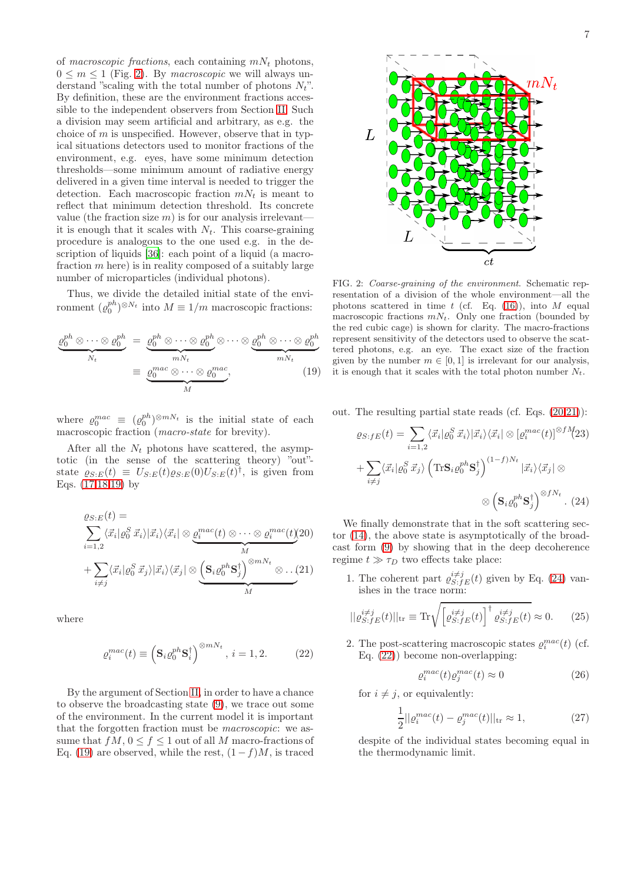of macroscopic fractions, each containing  $mN_t$  photons,  $0 \leq m \leq 1$  (Fig. [2\)](#page-6-0). By macroscopic we will always understand "scaling with the total number of photons  $N_t$ ". By definition, these are the environment fractions accessible to the independent observers from Section [II.](#page-1-3) Such a division may seem artificial and arbitrary, as e.g. the choice of  $m$  is unspecified. However, observe that in typical situations detectors used to monitor fractions of the environment, e.g. eyes, have some minimum detection thresholds—some minimum amount of radiative energy delivered in a given time interval is needed to trigger the detection. Each macroscopic fraction  $mN_t$  is meant to reflect that minimum detection threshold. Its concrete value (the fraction size  $m$ ) is for our analysis irrelevant it is enough that it scales with  $N_t$ . This coarse-graining procedure is analogous to the one used e.g. in the description of liquids [\[36\]](#page-13-33): each point of a liquid (a macrofraction  $m$  here) is in reality composed of a suitably large number of microparticles (individual photons).

Thus, we divide the detailed initial state of the environment  $(\varrho_0^{ph})^{\otimes N_t}$  into  $M \equiv 1/m$  macroscopic fractions:

<span id="page-6-1"></span>
$$
\underbrace{\varrho_0^{ph} \otimes \cdots \otimes \varrho_0^{ph}}_{N_t} = \underbrace{\varrho_0^{ph} \otimes \cdots \otimes \varrho_0^{ph}}_{mN_t} \otimes \cdots \otimes \underbrace{\varrho_0^{ph} \otimes \cdots \otimes \varrho_0^{ph}}_{mN_t}
$$
\n
$$
\equiv \underbrace{\varrho_0^{mac} \otimes \cdots \otimes \varrho_0^{mac}}_{M}, \qquad (19)
$$

where  $\varrho_0^{mac} \equiv (\varrho_0^{ph})^{\otimes mN_t}$  is the initial state of each macroscopic fraction (macro-state for brevity).

After all the  $N_t$  photons have scattered, the asymptotic (in the sense of the scattering theory) "out" state  $\varrho_{S:E}(t) \equiv U_{S:E}(t)\varrho_{S:E}(0)U_{S:E}(t)^{\dagger}$ , is given from Eqs. [\(17,](#page-5-1)[18,](#page-5-2)[19\)](#page-6-1) by

<span id="page-6-2"></span>
$$
\varrho_{S:E}(t) = \sum_{i=1,2} \langle \vec{x}_i | \varrho_0^S \vec{x}_i \rangle |\vec{x}_i \rangle \langle \vec{x}_i | \otimes \underbrace{\varrho_i^{mac}(t) \otimes \cdots \otimes \varrho_i^{mac}(t)}_{M} (20) + \sum_{i \neq j} \langle \vec{x}_i | \varrho_0^S \vec{x}_j \rangle |\vec{x}_i \rangle \langle \vec{x}_j | \otimes \underbrace{\left(\mathbf{S}_i \varrho_0^{ph} \mathbf{S}_j^{\dagger}\right)^{\otimes mN_t} \otimes \cdots (21)}_{M}
$$

<span id="page-6-4"></span>where

$$
\varrho_i^{mac}(t) \equiv \left(\mathbf{S}_i \varrho_0^{ph} \mathbf{S}_i^{\dagger}\right)^{\otimes mN_t}, \, i = 1, 2. \tag{22}
$$

By the argument of Section [II,](#page-1-3) in order to have a chance to observe the broadcasting state [\(9\)](#page-3-1), we trace out some of the environment. In the current model it is important that the forgotten fraction must be macroscopic: we assume that  $fM$ ,  $0 \le f \le 1$  out of all M macro-fractions of Eq. [\(19\)](#page-6-1) are observed, while the rest,  $(1-f)M$ , is traced



<span id="page-6-0"></span>FIG. 2: Coarse-graining of the environment. Schematic representation of a division of the whole environment—all the photons scattered in time  $t$  (cf. Eq. [\(16\)](#page-5-3)), into  $M$  equal macroscopic fractions  $mN_t$ . Only one fraction (bounded by the red cubic cage) is shown for clarity. The macro-fractions represent sensitivity of the detectors used to observe the scattered photons, e.g. an eye. The exact size of the fraction given by the number  $m \in [0, 1]$  is irrelevant for our analysis, it is enough that it scales with the total photon number  $N_t$ .

out. The resulting partial state reads (cf. Eqs. [\(20,21\)](#page-6-2)):

<span id="page-6-3"></span>
$$
\varrho_{S:fE}(t) = \sum_{i=1,2} \langle \vec{x}_i | \varrho_0^S \vec{x}_i \rangle |\vec{x}_i \rangle \langle \vec{x}_i | \otimes [\varrho_i^{mac}(t)]^{\otimes fM}(23)
$$

$$
+ \sum_{i \neq j} \langle \vec{x}_i | \varrho_0^S \vec{x}_j \rangle \left( \text{Tr} \mathbf{S}_i \varrho_0^{ph} \mathbf{S}_j^{\dagger} \right)^{(1-f)N_t} |\vec{x}_i \rangle \langle \vec{x}_j | \otimes
$$

$$
\otimes \left( \mathbf{S}_i \varrho_0^{ph} \mathbf{S}_j^{\dagger} \right)^{\otimes fN_t} . (24)
$$

We finally demonstrate that in the soft scattering sector [\(14\)](#page-4-2), the above state is asymptotically of the broadcast form [\(9\)](#page-3-1) by showing that in the deep decoherence regime  $t \gg \tau_D$  two effects take place:

1. The coherent part  $\varrho_{S:FE}^{i\neq j}(t)$  given by Eq. [\(24\)](#page-6-3) vanishes in the trace norm:

$$
||\varrho_{S:fE}^{i\neq j}(t)||_{\text{tr}} \equiv \text{Tr}\sqrt{\left[\varrho_{S:fE}^{i\neq j}(t)\right]^{\dagger} \varrho_{S:fE}^{i\neq j}(t)} \approx 0. \tag{25}
$$

2. The post-scattering macroscopic states  $\varrho_i^{mac}(t)$  (cf. Eq. [\(22\)](#page-6-4)) become non-overlapping:

<span id="page-6-7"></span><span id="page-6-6"></span><span id="page-6-5"></span>
$$
\varrho_i^{mac}(t)\varrho_j^{mac}(t) \approx 0 \tag{26}
$$

for  $i \neq j$ , or equivalently:

$$
\frac{1}{2}||\varrho_i^{mac}(t) - \varrho_j^{mac}(t)||_{\text{tr}} \approx 1,
$$
\n(27)

despite of the individual states becoming equal in the thermodynamic limit.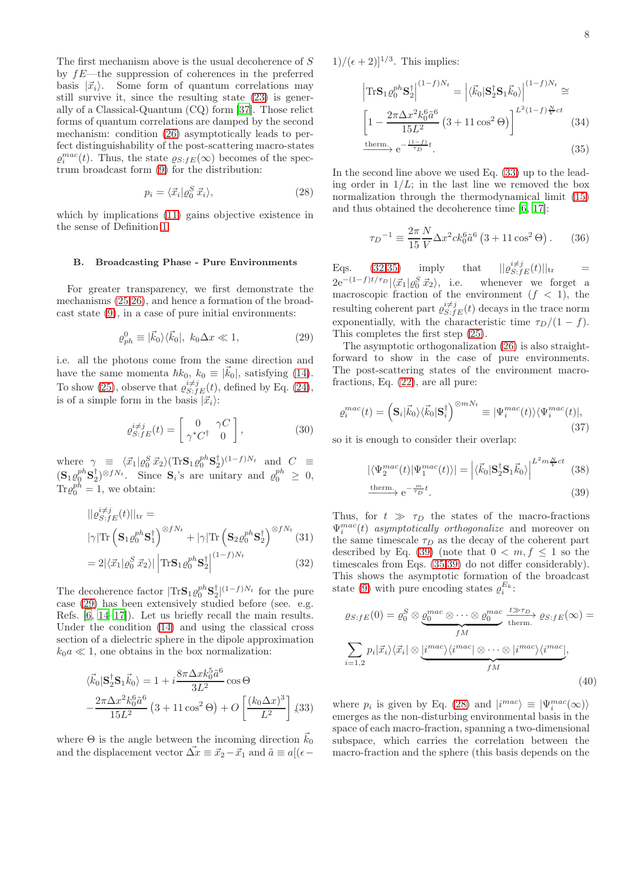The first mechanism above is the usual decoherence of  $S$ by fE—the suppression of coherences in the preferred basis  $|\vec{x}_i\rangle$ . Some form of quantum correlations may still survive it, since the resulting state [\(23\)](#page-6-3) is generally of a Classical-Quantum (CQ) form [\[37](#page-13-34)]. Those relict forms of quantum correlations are damped by the second mechanism: condition [\(26\)](#page-6-5) asymptotically leads to perfect distinguishability of the post-scattering macro-states  $\varrho_i^{mac}(t)$ . Thus, the state  $\varrho_{S:FE}(\infty)$  becomes of the spectrum broadcast form [\(9\)](#page-3-1) for the distribution:

<span id="page-7-5"></span>
$$
p_i = \langle \vec{x}_i | \varrho_0^S \, \vec{x}_i \rangle,\tag{28}
$$

which by implications  $(11)$  gains objective existence in the sense of Definition [1.](#page-1-0)

## B. Broadcasting Phase - Pure Environments

For greater transparency, we first demonstrate the mechanisms [\(25](#page-6-6)[,26\)](#page-6-5), and hence a formation of the broadcast state [\(9\)](#page-3-1), in a case of pure initial environments:

<span id="page-7-0"></span>
$$
\varrho_{ph}^0 \equiv |\vec{k}_0\rangle\langle\vec{k}_0|, k_0 \Delta x \ll 1,\tag{29}
$$

i.e. all the photons come from the same direction and have the same momenta  $\hbar k_0$ ,  $k_0 \equiv |\vec{k}_0|$ , satisfying [\(14\)](#page-4-2). To show [\(25\)](#page-6-6), observe that  $\varrho_{S:fE}^{i\neq j}(t)$ , defined by Eq. [\(24\)](#page-6-3), is of a simple form in the basis  $|\vec{x}_i\rangle$ :

<span id="page-7-7"></span>
$$
\varrho_{S:fE}^{i\neq j}(t) = \begin{bmatrix} 0 & \gamma C \\ \gamma^* C^\dagger & 0 \end{bmatrix},\tag{30}
$$

where  $\gamma \equiv \langle \vec{x}_1 | \varrho_0^S \vec{x}_2 \rangle (\text{Tr} \mathbf{S}_1 \varrho_0^{ph} \mathbf{S}_2^{\dagger})^{(1-f)N_t}$  and  $C \equiv$  $(\mathbf{S}_1 \varrho_0^{ph} \mathbf{S}_2^{\dagger})^{\otimes fN_t}$ . Since  $\mathbf{S}_i$ 's are unitary and  $\varrho_0^{ph} \geq 0$ ,  $\text{Tr}\varrho_0^{ph}=1$ , we obtain:

<span id="page-7-2"></span>
$$
||\varrho_{S:fE}^{i\neq j}(t)||_{\text{tr}} =
$$

$$
|\gamma| \text{Tr} \left( \mathbf{S}_1 \varrho_0^{ph} \mathbf{S}_1^{\dagger} \right)^{\otimes fN_t} + |\gamma| \text{Tr} \left( \mathbf{S}_2 \varrho_0^{ph} \mathbf{S}_2^{\dagger} \right)^{\otimes fN_t} (31)
$$

$$
=2|\langle \vec{x}_1|\varrho_0^S \,\vec{x}_2\rangle| \left| \text{Tr} \mathbf{S}_1 \varrho_0^{ph} \mathbf{S}_2^{\dagger} \right|^{(1-f)N_t}
$$
(32)

The decoherence factor  $|\text{Tr} \mathbf{S}_1 \varrho_0^{ph} \mathbf{S}_2^{\dagger}|^{(1-f)N_t}$  for the pure case [\(29\)](#page-7-0) has been extensively studied before (see. e.g. Refs. [\[6](#page-13-4), [14](#page-13-12)[–17\]](#page-13-13)). Let us briefly recall the main results. Under the condition [\(14\)](#page-4-2) and using the classical cross section of a dielectric sphere in the dipole approximation  $k_0a \ll 1$ , one obtains in the box normalization:

<span id="page-7-1"></span>
$$
\langle \vec{k}_0 | \mathbf{S}_2^{\dagger} \mathbf{S}_1 \vec{k}_0 \rangle = 1 + i \frac{8 \pi \Delta x k_0^5 \tilde{a}^6}{3L^2} \cos \Theta
$$

$$
- \frac{2 \pi \Delta x^2 k_0^6 \tilde{a}^6}{15L^2} \left( 3 + 11 \cos^2 \Theta \right) + O\left[ \frac{(k_0 \Delta x)^3}{L^2} \right] (33)
$$

where  $\Theta$  is the angle between the incoming direction  $\vec{k}_0$ and the displacement vector  $\vec{\Delta x} \equiv \vec{x}_2 - \vec{x}_1$  and  $\tilde{a} \equiv a/(\epsilon - \epsilon)$ 

 $1)/(\epsilon+2)]^{1/3}$ . This implies:

<span id="page-7-3"></span>
$$
\left| \text{Tr} \mathbf{S}_1 \varrho_0^{ph} \mathbf{S}_2^{\dagger} \right|^{(1-f)N_t} = \left| \langle \vec{k}_0 | \mathbf{S}_2^{\dagger} \mathbf{S}_1 \vec{k}_0 \rangle \right|^{(1-f)N_t} \cong
$$
\n
$$
\left[ 1 - \frac{2\pi \Delta x^2 k_0^6 \tilde{a}^6}{15L^2} \left( 3 + 11 \cos^2 \Theta \right) \right]^{L^2 (1-f) \frac{N}{V}ct} \tag{34}
$$
\n
$$
\xrightarrow{\text{therm.}} e^{-\frac{(1-f)}{\tau_D}t}.
$$

In the second line above we used Eq. [\(33\)](#page-7-1) up to the leading order in  $1/L$ ; in the last line we removed the box normalization through the thermodynamical limit [\(15\)](#page-5-4) and thus obtained the decoherence time [\[6](#page-13-4), [17](#page-13-13)]:

$$
\tau_D^{-1} \equiv \frac{2\pi}{15} \frac{N}{V} \Delta x^2 c k_0^6 \tilde{a}^6 \left(3 + 11 \cos^2 \Theta\right). \tag{36}
$$

Eqs. [\(32](#page-7-2)[,35\)](#page-7-3) imply that  $||\varrho_{S:fE}^{i\neq j}(t)||_{\text{tr}} =$  $2e^{-(1-f)t/\tau_D}|\langle \vec{x}_1|\varrho_0^S \vec{x}_2\rangle$ , i.e. whenever we forget a macroscopic fraction of the environment  $(f < 1)$ , the resulting coherent part  $\varrho_{S:FE}^{i\neq j}(t)$  decays in the trace norm exponentially, with the characteristic time  $\tau_D/(1-f)$ . This completes the first step [\(25\)](#page-6-6).

The asymptotic orthogonalization [\(26\)](#page-6-5) is also straightforward to show in the case of pure environments. The post-scattering states of the environment macrofractions, Eq. [\(22\)](#page-6-4), are all pure:

$$
\varrho_i^{mac}(t) = \left(\mathbf{S}_i|\vec{k}_0\rangle\langle\vec{k}_0|\mathbf{S}_i^{\dagger}\right)^{\otimes mN_t} \equiv |\Psi_i^{mac}(t)\rangle\langle\Psi_i^{mac}(t)|,\tag{37}
$$

so it is enough to consider their overlap:

<span id="page-7-4"></span>
$$
|\langle \Psi_2^{mac}(t) | \Psi_1^{mac}(t) \rangle| = \left| \langle \vec{k}_0 | \mathbf{S}_2^{\dagger} \mathbf{S}_1 \vec{k}_0 \rangle \right|^{L^2 m \frac{N}{V} ct} (38)
$$
  
therm.  $e^{-\frac{m}{TD}t}$  (39)

$$
\xrightarrow{\text{therm.}} e^{-\frac{m}{\tau_D}t}.\tag{39}
$$

Thus, for  $t \gg \tau_D$  the states of the macro-fractions  $\Psi_i^{mac}(t)$  asymptotically orthogonalize and moreover on the same timescale  $\tau_D$  as the decay of the coherent part described by Eq. [\(39\)](#page-7-4) (note that  $0 < m, f \leq 1$  so the timescales from Eqs. [\(35,](#page-7-3)[39\)](#page-7-4) do not differ considerably). This shows the asymptotic formation of the broadcast state [\(9\)](#page-3-1) with pure encoding states  $\rho_i^{E_k}$ :

<span id="page-7-6"></span>
$$
\varrho_{S:fE}(0) = \varrho_0^S \otimes \underbrace{\varrho_0^{mac} \otimes \cdots \otimes \varrho_0^{mac}}_{fM} \xrightarrow{t \gg \tau_D} \varrho_{S:fE}(\infty) =
$$
\n
$$
\sum_{i=1,2} p_i |\vec{x}_i\rangle \langle \vec{x}_i| \otimes \underbrace{i^{mac}\rangle \langle i^{mac} | \otimes \cdots \otimes |i^{mac}\rangle \langle i^{mac} |}_{fM},
$$
\n(40)

where  $p_i$  is given by Eq. [\(28\)](#page-7-5) and  $|i^{mac}\rangle \equiv |\Psi_i^{mac}(\infty)\rangle$ emerges as the non-disturbing environmental basis in the space of each macro-fraction, spanning a two-dimensional subspace, which carries the correlation between the macro-fraction and the sphere (this basis depends on the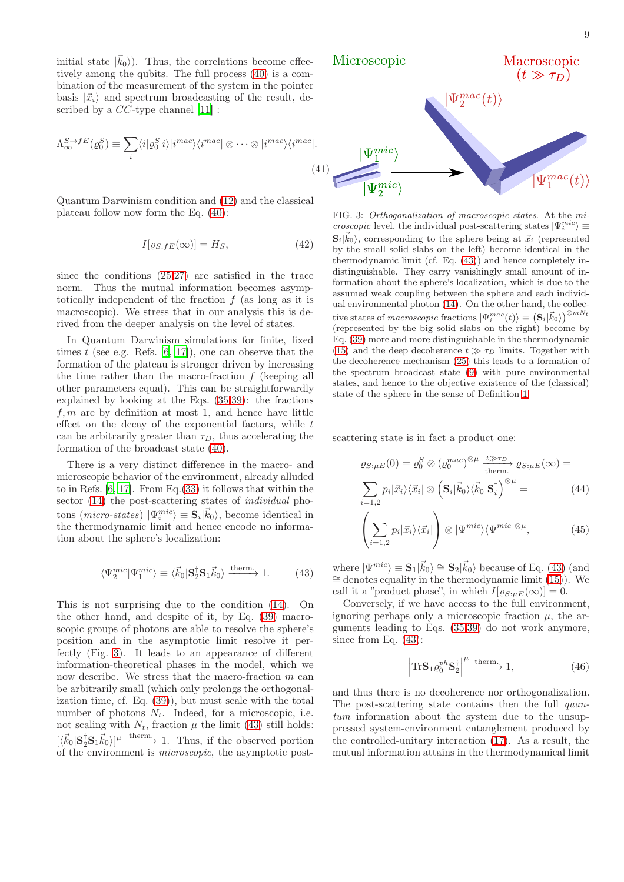initial state  $|\vec{k}_0\rangle$ ). Thus, the correlations become effectively among the qubits. The full process [\(40\)](#page-7-6) is a combination of the measurement of the system in the pointer basis  $|\vec{x}_i\rangle$  and spectrum broadcasting of the result, described by a *CC*-type channel [\[11\]](#page-13-9) :

$$
\Lambda_{\infty}^{S \to fE}(\varrho_0^S) \equiv \sum_i \langle i | \varrho_0^S i \rangle | i^{mac} \rangle \langle i^{mac} | \otimes \cdots \otimes | i^{mac} \rangle \langle i^{mac} |.
$$

Quantum Darwinism condition and [\(12\)](#page-4-1) and the classical plateau follow now form the Eq. [\(40\)](#page-7-6):

$$
I[\varrho_{S:FE}(\infty)] = H_S,\tag{42}
$$

since the conditions [\(25](#page-6-6)[,27\)](#page-6-7) are satisfied in the trace norm. Thus the mutual information becomes asymptotically independent of the fraction  $f$  (as long as it is macroscopic). We stress that in our analysis this is derived from the deeper analysis on the level of states.

In Quantum Darwinism simulations for finite, fixed times  $t$  (see e.g. Refs. [\[6](#page-13-4), [17\]](#page-13-13)), one can observe that the formation of the plateau is stronger driven by increasing the time rather than the macro-fraction  $f$  (keeping all other parameters equal). This can be straightforwardly explained by looking at the Eqs. [\(35,](#page-7-3)[39\)](#page-7-4): the fractions  $f, m$  are by definition at most 1, and hence have little effect on the decay of the exponential factors, while  $t$ can be arbitrarily greater than  $\tau_D$ , thus accelerating the formation of the broadcast state [\(40\)](#page-7-6).

There is a very distinct difference in the macro- and microscopic behavior of the environment, already alluded to in Refs. [\[6,](#page-13-4) [17](#page-13-13)]. From Eq.[\(33\)](#page-7-1) it follows that within the sector [\(14\)](#page-4-2) the post-scattering states of *individual* photons (*micro-states*)  $|\Psi_i^{mic}\rangle \equiv \mathbf{S}_i|\vec{k}_0\rangle$ , become identical in the thermodynamic limit and hence encode no information about the sphere's localization:

$$
\langle \Psi_2^{\text{mic}} | \Psi_1^{\text{mic}} \rangle \equiv \langle \vec{k}_0 | \mathbf{S}_2^{\dagger} \mathbf{S}_1 \vec{k}_0 \rangle \xrightarrow{\text{therm.}} 1. \tag{43}
$$

This is not surprising due to the condition [\(14\)](#page-4-2). On the other hand, and despite of it, by Eq. [\(39\)](#page-7-4) macroscopic groups of photons are able to resolve the sphere's position and in the asymptotic limit resolve it perfectly (Fig. [3\)](#page-8-0). It leads to an appearance of different information-theoretical phases in the model, which we now describe. We stress that the macro-fraction m can be arbitrarily small (which only prolongs the orthogonalization time, cf. Eq. [\(39\)](#page-7-4)), but must scale with the total number of photons  $N_t$ . Indeed, for a microscopic, i.e. not scaling with  $N_t$ , fraction  $\mu$  the limit [\(43\)](#page-8-1) still holds:  $[\langle \vec{k}_0 | \mathbf{S}_2^{\dagger} \mathbf{S}_1 \vec{k}_0 \rangle]^{\mu}$  therm. Thus, if the observed portion of the environment is microscopic, the asymptotic post-



<span id="page-8-3"></span><span id="page-8-0"></span>FIG. 3: Orthogonalization of macroscopic states. At the mi*croscopic* level, the individual post-scattering states  $|\Psi_i^{mic}\rangle \equiv$  $\mathbf{S}_i | \vec{k}_0 \rangle$ , corresponding to the sphere being at  $\vec{x}_i$  (represented by the small solid slabs on the left) become identical in the thermodynamic limit (cf. Eq. [\(43\)](#page-8-1)) and hence completely indistinguishable. They carry vanishingly small amount of information about the sphere's localization, which is due to the assumed weak coupling between the sphere and each individual environmental photon [\(14\)](#page-4-2). On the other hand, the collective states of macroscopic fractions  $|\Psi_i^{mac}(t)\rangle\equiv\left(\mathbf{S}_i|\vec{k}_0\rangle\right)^{\otimes mN_t}$ (represented by the big solid slabs on the right) become by Eq. [\(39\)](#page-7-4) more and more distinguishable in the thermodynamic [\(15\)](#page-5-4) and the deep decoherence  $t \gg \tau_D$  limits. Together with the decoherence mechanism [\(25\)](#page-6-6) this leads to a formation of the spectrum broadcast state [\(9\)](#page-3-1) with pure environmental states, and hence to the objective existence of the (classical) state of the sphere in the sense of Definition [1.](#page-1-0)

scattering state is in fact a product one:

<span id="page-8-2"></span>
$$
\varrho_{S:\mu E}(0) = \varrho_0^S \otimes (\varrho_0^{mac})^{\otimes \mu} \xrightarrow{\text{t} \gg \tau_D} \varrho_{S:\mu E}(\infty) =
$$

$$
\sum_{i=1,2} p_i |\vec{x}_i\rangle\langle\vec{x}_i| \otimes (\mathbf{S}_i|\vec{k}_0\rangle\langle\vec{k}_0|\mathbf{S}_i^{\dagger})^{\otimes \mu} =
$$
(44)

$$
\left(\sum_{i=1,2} p_i |\vec{x}_i\rangle\langle\vec{x}_i|\right) \otimes |\Psi^{mic}\rangle\langle\Psi^{mic}|^{\otimes \mu},\tag{45}
$$

<span id="page-8-1"></span>where  $|\Psi^{mic}\rangle \equiv \mathbf{S}_1|\vec{k}_0\rangle \cong \mathbf{S}_2|\vec{k}_0\rangle$  because of Eq. [\(43\)](#page-8-1) (and  $\cong$  denotes equality in the thermodynamic limit [\(15\)](#page-5-4)). We call it a "product phase", in which  $I[\varrho_{S:\mu E}(\infty)] = 0$ .

Conversely, if we have access to the full environment, ignoring perhaps only a microscopic fraction  $\mu$ , the arguments leading to Eqs. [\(35](#page-7-3)[,39\)](#page-7-4) do not work anymore, since from Eq. [\(43\)](#page-8-1):

$$
\left|\text{Tr}\mathbf{S}_1 \varrho_0^{ph} \mathbf{S}_2^{\dagger}\right|^{\mu} \xrightarrow{\text{therm.}} 1,\tag{46}
$$

and thus there is no decoherence nor orthogonalization. The post-scattering state contains then the full *quan*tum information about the system due to the unsuppressed system-environment entanglement produced by the controlled-unitary interaction [\(17\)](#page-5-1). As a result, the mutual information attains in the thermodynamical limit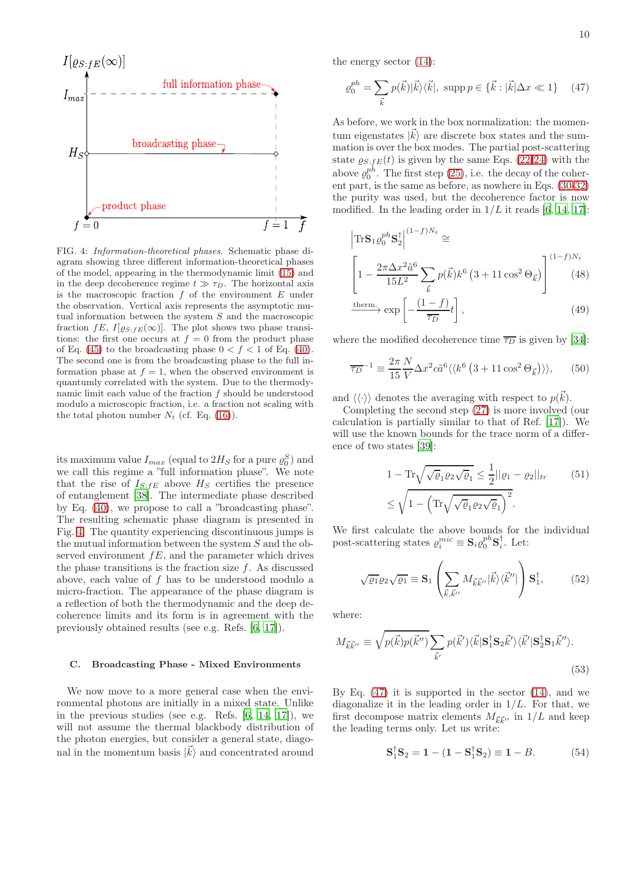

<span id="page-9-0"></span>FIG. 4: Information-theoretical phases. Schematic phase diagram showing three different information-theoretical phases of the model, appearing in the thermodynamic limit [\(15\)](#page-5-4) and in the deep decoherence regime  $t \gg \tau_D$ . The horizontal axis is the macroscopic fraction  $f$  of the environment  $E$  under the observation. Vertical axis represents the asymptotic mutual information between the system  $S$  and the macroscopic fraction  $fE, I[\varrho_{S:FE}(\infty)]$ . The plot shows two phase transitions: the first one occurs at  $f = 0$  from the product phase of Eq. [\(45\)](#page-8-2) to the broadcasting phase  $0 < f < 1$  of Eq. [\(40\)](#page-7-6). The second one is from the broadcasting phase to the full information phase at  $f = 1$ , when the observed environment is quantumly correlated with the system. Due to the thermodynamic limit each value of the fraction  $f$  should be understood modulo a microscopic fraction, i.e. a fraction not scaling with the total photon number  $N_t$  (cf. Eq. [\(16\)](#page-5-3)).

its maximum value  $I_{max}$  (equal to  $2H_S$  for a pure  $\varrho_0^S$ ) and we call this regime a "full information phase". We note that the rise of  $I_{S:FE}$  above  $H_S$  certifies the presence of entanglement [\[38](#page-13-35)]. The intermediate phase described by Eq. [\(40\)](#page-7-6), we propose to call a "broadcasting phase". The resulting schematic phase diagram is presented in Fig. [4.](#page-9-0) The quantity experiencing discontinuous jumps is the mutual information between the system S and the observed environment  $fE$ , and the parameter which drives the phase transitions is the fraction size  $f$ . As discussed above, each value of f has to be understood modulo a micro-fraction. The appearance of the phase diagram is a reflection of both the thermodynamic and the deep decoherence limits and its form is in agreement with the previously obtained results (see e.g. Refs. [\[6](#page-13-4), [17](#page-13-13)]).

#### C. Broadcasting Phase - Mixed Environments

We now move to a more general case when the environmental photons are initially in a mixed state. Unlike in the previous studies (see e.g. Refs. [\[6,](#page-13-4) [14](#page-13-12), [17\]](#page-13-13)), we will not assume the thermal blackbody distribution of the photon energies, but consider a general state, diagonal in the momentum basis  $|\vec{k}\rangle$  and concentrated around the energy sector [\(14\)](#page-4-2):

<span id="page-9-1"></span>
$$
\varrho_0^{ph} = \sum_{\vec{k}} p(\vec{k}) |\vec{k}\rangle\langle\vec{k}|, \text{ supp } p \in \{\vec{k} : |\vec{k}| \Delta x \ll 1\} \tag{47}
$$

As before, we work in the box normalization: the momentum eigenstates  $|\vec{k}\rangle$  are discrete box states and the summation is over the box modes. The partial post-scattering state  $\varrho_{S:FE}(t)$  is given by the same Eqs. [\(22-](#page-6-4)[24\)](#page-6-3) with the above  $\varrho_0^{ph}$ . The first step [\(25\)](#page-6-6), i.e. the decay of the coherent part, is the same as before, as nowhere in Eqs. [\(30](#page-7-7)[-32\)](#page-7-2) the purity was used, but the decoherence factor is now modified. In the leading order in  $1/L$  it reads [\[6](#page-13-4), [14,](#page-13-12) [17\]](#page-13-13):

<span id="page-9-5"></span>
$$
\left| \text{Tr} \mathbf{S}_1 \varrho_0^{ph} \mathbf{S}_2^{\dagger} \right|^{(1-f)N_t} \cong
$$
\n
$$
\left[ 1 - \frac{2\pi \Delta x^2 \tilde{a}^6}{15L^2} \sum_{\vec{k}} p(\vec{k}) k^6 \left( 3 + 11 \cos^2 \Theta_{\vec{k}} \right) \right]^{(1-f)N_t} \tag{48}
$$

$$
\xrightarrow{\text{therm.}} \exp\left[-\frac{(1-f)}{\overline{\tau_D}}t\right],\tag{49}
$$

where the modified decoherence time  $\overline{\tau_D}$  is given by [\[34\]](#page-13-36):

$$
\overline{\tau_D}^{-1} \equiv \frac{2\pi}{15} \frac{N}{V} \Delta x^2 c \tilde{a}^6 \langle \langle k^6 (3 + 11 \cos^2 \Theta_{\vec{k}}) \rangle \rangle, \qquad (50)
$$

and  $\langle\langle\cdot\rangle\rangle$  denotes the averaging with respect to  $p(\vec{k})$ .

Completing the second step [\(27\)](#page-6-7) is more involved (our calculation is partially similar to that of Ref. [\[17\]](#page-13-13)). We will use the known bounds for the trace norm of a difference of two states [\[39\]](#page-13-37):

<span id="page-9-4"></span><span id="page-9-2"></span>
$$
1 - \text{Tr}\sqrt{\sqrt{\varrho_1}\varrho_2\sqrt{\varrho_1}} \le \frac{1}{2}||\varrho_1 - \varrho_2||_{tr} \qquad (51)
$$

$$
\le \sqrt{1 - \left(\text{Tr}\sqrt{\sqrt{\varrho_1}\varrho_2\sqrt{\varrho_1}}\right)^2}.
$$

We first calculate the above bounds for the individual post-scattering states  $\varrho_i^{mic} \equiv \mathbf{S}_i \varrho_0^{ph} \mathbf{S}_i^{\dagger}$ . Let:

$$
\sqrt{\varrho_1} \varrho_2 \sqrt{\varrho_1} \equiv \mathbf{S}_1 \left( \sum_{\vec{k}, \vec{k}^{\prime \prime}} M_{\vec{k} \vec{k}^{\prime \prime}} |\vec{k}\rangle \langle \vec{k}^{\prime \prime}| \right) \mathbf{S}_1^{\dagger}, \tag{52}
$$

where:

<span id="page-9-3"></span>
$$
M_{\vec{k}\vec{k}''} \equiv \sqrt{p(\vec{k})p(\vec{k}'')} \sum_{\vec{k}'} p(\vec{k}') \langle \vec{k} | \mathbf{S}_1^{\dagger} \mathbf{S}_2 \vec{k}' \rangle \langle \vec{k}' | \mathbf{S}_2^{\dagger} \mathbf{S}_1 \vec{k}'' \rangle.
$$
\n(53)

By Eq.  $(47)$  it is supported in the sector  $(14)$ , and we diagonalize it in the leading order in  $1/L$ . For that, we first decompose matrix elements  $M_{\vec{k}\vec{k}^{\prime\prime}}$  in  $1/L$  and keep the leading terms only. Let us write:

$$
S_1^{\dagger} S_2 = 1 - (1 - S_1^{\dagger} S_2) \equiv 1 - B. \tag{54}
$$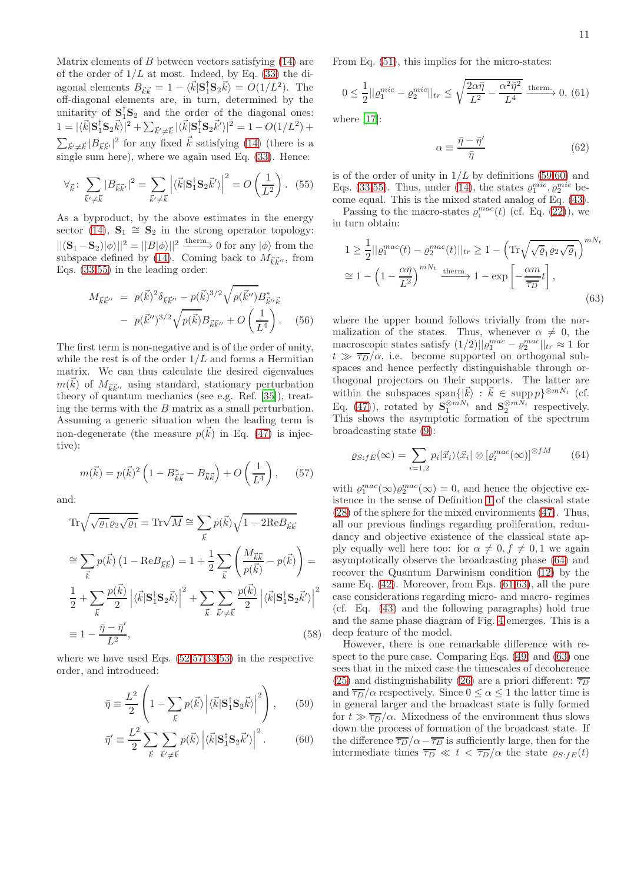From Eq. [\(51\)](#page-9-4), this implies for the micro-states:

<span id="page-10-4"></span>
$$
0 \le \frac{1}{2} ||\varrho_1^{mic} - \varrho_2^{mic}||_{tr} \le \sqrt{\frac{2\alpha\bar{\eta}}{L^2} - \frac{\alpha^2\bar{\eta}^2}{L^4}} \xrightarrow{\text{therm.}} 0, (61)
$$

where [\[17\]](#page-13-13):

<span id="page-10-7"></span>
$$
\alpha \equiv \frac{\bar{\eta} - \bar{\eta}'}{\bar{\eta}}\tag{62}
$$

<span id="page-10-0"></span>is of the order of unity in  $1/L$  by definitions [\(59,60\)](#page-10-2) and Eqs. [\(33,](#page-7-1)[55\)](#page-10-0). Thus, under [\(14\)](#page-4-2), the states  $\varrho_1^{mic}, \varrho_2^{mic}$  become equal. This is the mixed stated analog of Eq. [\(43\)](#page-8-1).

Passing to the macro-states  $\varrho_i^{mac}(t)$  (cf. Eq. [\(22\)](#page-6-4)), we in turn obtain:

<span id="page-10-5"></span>
$$
1 \ge \frac{1}{2} ||\varrho_1^{mac}(t) - \varrho_2^{mac}(t)||_{tr} \ge 1 - \left( \text{Tr} \sqrt{\sqrt{\varrho_1 \varrho_2 \sqrt{\varrho_1}}} \right)^{mN_t}
$$
  

$$
\approx 1 - \left( 1 - \frac{\alpha \bar{\eta}}{L^2} \right)^{mN_t} \xrightarrow{\text{therm.}} 1 - \exp \left[ -\frac{\alpha m}{\overline{\tau_D}} t \right],
$$
 (63)

where the upper bound follows trivially from the normalization of the states. Thus, whenever  $\alpha \neq 0$ , the macroscopic states satisfy  $(1/2)||\varrho_1^{mac} - \varrho_2^{mac}||_{tr} \approx 1$  for  $t \gg \overline{\tau_D}/\alpha$ , i.e. become supported on orthogonal subspaces and hence perfectly distinguishable through orthogonal projectors on their supports. The latter are within the subspaces span $\{|\vec{k}\rangle : \vec{k} \in \text{supp } p\}^{\otimes mN_t}$  (cf. Eq. [\(47\)](#page-9-1)), rotated by  $\mathbf{S}_1^{\otimes mN_t}$  and  $\mathbf{S}_2^{\otimes mN_t}$  respectively. This shows the asymptotic formation of the spectrum broadcasting state [\(9\)](#page-3-1):

<span id="page-10-3"></span>
$$
\varrho_{S:fE}(\infty) = \sum_{i=1,2} p_i |\vec{x}_i\rangle\langle\vec{x}_i| \otimes \left[\varrho_i^{mac}(\infty)\right]^{\otimes fM} \tag{64}
$$

with  $\varrho_1^{mac}(\infty)\varrho_2^{mac}(\infty) = 0$ , and hence the objective existence in the sense of Definition [1](#page-1-0) of the classical state [\(28\)](#page-7-5) of the sphere for the mixed environments [\(47\)](#page-9-1). Thus, all our previous findings regarding proliferation, redundancy and objective existence of the classical state apply equally well here too: for  $\alpha \neq 0, f \neq 0, 1$  we again asymptotically observe the broadcasting phase [\(64\)](#page-10-3) and recover the Quantum Darwinism condition [\(12\)](#page-4-1) by the same Eq. [\(42\)](#page-8-3). Moreover, from Eqs. [\(61](#page-10-4)[,63\)](#page-10-5), all the pure case considerations regarding micro- and macro- regimes (cf. Eq. [\(43\)](#page-8-1) and the following paragraphs) hold true and the same phase diagram of Fig. [4](#page-9-0) emerges. This is a deep feature of the model.

However, there is one remarkable difference with respect to the pure case. Comparing Eqs. [\(49\)](#page-9-5) and [\(63\)](#page-10-5) one sees that in the mixed case the timescales of decoherence [\(25\)](#page-6-6) and distinguishability [\(26\)](#page-6-5) are a priori different:  $\overline{\tau_D}$ and  $\overline{\tau_D}/\alpha$  respectively. Since  $0 \leq \alpha \leq 1$  the latter time is in general larger and the broadcast state is fully formed for  $t \gg \overline{\tau_D}/\alpha$ . Mixedness of the environment thus slows down the process of formation of the broadcast state. If the difference  $\overline{\tau_D}/\alpha - \overline{\tau_D}$  is sufficiently large, then for the intermediate times  $\overline{\tau_D} \ll t < \overline{\tau_D}/\alpha$  the state  $\rho_{S;fE}(t)$ 

Matrix elements of  $B$  between vectors satisfying  $(14)$  are of the order of  $1/L$  at most. Indeed, by Eq. [\(33\)](#page-7-1) the diagonal elements  $B_{\vec{k}\vec{k}} = 1 - \langle \vec{k} | \mathbf{S}_1^{\dagger} \mathbf{S}_2 \vec{k} \rangle = O(1/L^2)$ . The off-diagonal elements are, in turn, determined by the unitarity of  $S_1^{\dagger}S_2$  and the order of the diagonal ones:  $1 = |\langle \vec{k} | \mathbf{S}_1^{\dagger} \mathbf{S}_2 \vec{k} \rangle|^2 + \sum_{\vec{k}' \neq \vec{k}} |\langle \vec{k} | \mathbf{S}_1^{\dagger} \mathbf{S}_2 \vec{k}' \rangle|^2 = 1 - O(1/L^2) +$  $\sum_{\vec{k}' \neq \vec{k}} |B_{\vec{k}\vec{k}'}|^2$  for any fixed  $\vec{k}$  satisfying [\(14\)](#page-4-2) (there is a single sum here), where we again used Eq. [\(33\)](#page-7-1). Hence:

$$
\forall_{\vec{k}} \colon \sum_{\vec{k}' \neq \vec{k}} |B_{\vec{k}\vec{k}'}|^2 = \sum_{\vec{k}' \neq \vec{k}} \left| \langle \vec{k} | \mathbf{S}_1^\dagger \mathbf{S}_2 \vec{k}' \rangle \right|^2 = O\left(\frac{1}{L^2}\right). \tag{55}
$$

As a byproduct, by the above estimates in the energy sector [\(14\)](#page-4-2),  $S_1 \cong S_2$  in the strong operator topology:  $||({\bf S}_1-{\bf S}_2)|\phi\rangle||^2=||B|\phi\rangle||^2 \xrightarrow{\text{therm}} 0 \text{ for any } |\phi\rangle \text{ from the}$ subspace defined by [\(14\)](#page-4-2). Coming back to  $M_{\vec{k}\vec{k}''}$ , from Eqs. [\(33,](#page-7-1)[55\)](#page-10-0) in the leading order:

$$
M_{\vec{k}\vec{k}''} = p(\vec{k})^2 \delta_{\vec{k}\vec{k}''} - p(\vec{k})^{3/2} \sqrt{p(\vec{k}'')} B_{\vec{k}''\vec{k}}^*
$$

$$
- p(\vec{k}'')^{3/2} \sqrt{p(\vec{k})} B_{\vec{k}\vec{k}''} + O\left(\frac{1}{L^4}\right). \quad (56)
$$

The first term is non-negative and is of the order of unity, while the rest is of the order  $1/L$  and forms a Hermitian matrix. We can thus calculate the desired eigenvalues  $m(\vec{k})$  of  $M_{\vec{k}\vec{k}^{\prime\prime}}$  using standard, stationary perturbation theory of quantum mechanics (see e.g. Ref. [\[35\]](#page-13-32)), treating the terms with the B matrix as a small perturbation. Assuming a generic situation when the leading term is non-degenerate (the measure  $p(\vec{k})$  in Eq. [\(47\)](#page-9-1) is injective):

<span id="page-10-1"></span>
$$
m(\vec{k}) = p(\vec{k})^2 \left( 1 - B_{\vec{k}\vec{k}}^* - B_{\vec{k}\vec{k}} \right) + O\left(\frac{1}{L^4}\right), \quad (57)
$$

and:

<span id="page-10-6"></span>
$$
\operatorname{Tr}\sqrt{\sqrt{\varrho_{1}}\varrho_{2}\sqrt{\varrho_{1}}} = \operatorname{Tr}\sqrt{M} \cong \sum_{\vec{k}} p(\vec{k})\sqrt{1 - 2\mathrm{Re}B_{\vec{k}\vec{k}}}
$$

$$
\cong \sum_{\vec{k}} p(\vec{k}) \left(1 - \mathrm{Re}B_{\vec{k}\vec{k}}\right) = 1 + \frac{1}{2} \sum_{\vec{k}} \left(\frac{M_{\vec{k}\vec{k}}}{p(\vec{k})} - p(\vec{k})\right) =
$$

$$
\frac{1}{2} + \sum_{\vec{k}} \frac{p(\vec{k})}{2} \left| \langle \vec{k} | \mathbf{S}_{1}^{\dagger} \mathbf{S}_{2} \vec{k} \rangle \right|^{2} + \sum_{\vec{k}} \sum_{\vec{k}' \neq \vec{k}} \frac{p(\vec{k})}{2} \left| \langle \vec{k} | \mathbf{S}_{1}^{\dagger} \mathbf{S}_{2} \vec{k}' \rangle \right|^{2}
$$

$$
\equiv 1 - \frac{\bar{\eta} - \bar{\eta}'}{L^{2}}, \tag{58}
$$

where we have used Eqs. [\(52,](#page-9-2)[57,](#page-10-1)[33](#page-7-1)[,53\)](#page-9-3) in the respective order, and introduced:

<span id="page-10-2"></span>
$$
\bar{\eta} \equiv \frac{L^2}{2} \left( 1 - \sum_{\vec{k}} p(\vec{k}) \left| \langle \vec{k} | \mathbf{S}_1^\dagger \mathbf{S}_2 \vec{k} \rangle \right|^2 \right), \qquad (59)
$$

$$
\bar{\eta}' \equiv \frac{L^2}{2} \sum_{\vec{k}} \sum_{\vec{k}' \neq \vec{k}} p(\vec{k}) \left| \langle \vec{k} | \mathbf{S}_1^\dagger \mathbf{S}_2 \vec{k}' \rangle \right|^2. \tag{60}
$$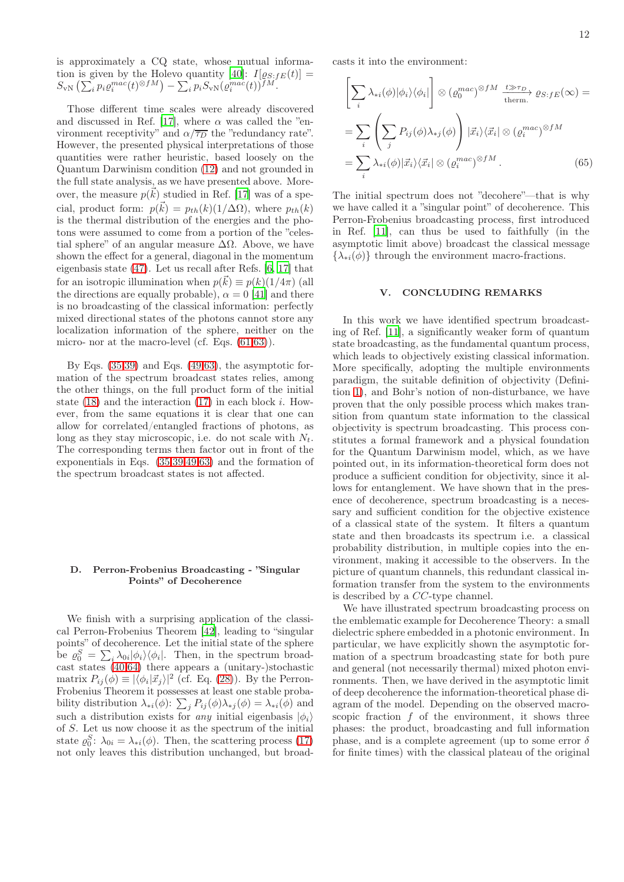is approximately a CQ state, whose mutual informa-tion is given by the Holevo quantity [\[40\]](#page-14-0):  $I[\varrho_{S:FE}(t)] =$  $S_{\rm vN}\left(\sum_ip_i\varrho_i^{mac}(t)^{\otimes fM}\right)-\sum_ip_iS_{\rm vN}(\varrho_i^{mac}(t))^{fM}.$ 

Those different time scales were already discovered and discussed in Ref. [\[17](#page-13-13)], where  $\alpha$  was called the "environment receptivity" and  $\alpha/\overline{\tau_D}$  the "redundancy rate". However, the presented physical interpretations of those quantities were rather heuristic, based loosely on the Quantum Darwinism condition [\(12\)](#page-4-1) and not grounded in the full state analysis, as we have presented above. Moreover, the measure  $p(\vec{k})$  studied in Ref. [\[17\]](#page-13-13) was of a special, product form:  $p(\vec{k}) = p_{th}(k)(1/\Delta\Omega)$ , where  $p_{th}(k)$ is the thermal distribution of the energies and the photons were assumed to come from a portion of the "celestial sphere" of an angular measure  $\Delta\Omega$ . Above, we have shown the effect for a general, diagonal in the momentum eigenbasis state [\(47\)](#page-9-1). Let us recall after Refs. [\[6,](#page-13-4) [17](#page-13-13)] that for an isotropic illumination when  $p(\vec{k}) \equiv p(k)(1/4\pi)$  (all the directions are equally probable),  $\alpha = 0$  [\[41\]](#page-14-1) and there is no broadcasting of the classical information: perfectly mixed directional states of the photons cannot store any localization information of the sphere, neither on the micro- nor at the macro-level (cf. Eqs. [\(61,](#page-10-4)[63\)](#page-10-5)).

By Eqs.  $(35,39)$  $(35,39)$  and Eqs.  $(49,63)$  $(49,63)$ , the asymptotic formation of the spectrum broadcast states relies, among the other things, on the full product form of the initial state  $(18)$  and the interaction  $(17)$  in each block i. However, from the same equations it is clear that one can allow for correlated/entangled fractions of photons, as long as they stay microscopic, i.e. do not scale with  $N_t$ . The corresponding terms then factor out in front of the exponentials in Eqs. [\(35,](#page-7-3)[39,](#page-7-4)[49](#page-9-5)[,63\)](#page-10-5) and the formation of the spectrum broadcast states is not affected.

## D. Perron-Frobenius Broadcasting - "Singular Points" of Decoherence

We finish with a surprising application of the classical Perron-Frobenius Theorem [\[42](#page-14-2)], leading to "singular points" of decoherence. Let the initial state of the sphere be  $\varrho_0^S = \sum_i \lambda_{0i} |\phi_i\rangle\langle\phi_i|$ . Then, in the spectrum broadcast states [\(40,](#page-7-6)[64\)](#page-10-3) there appears a (unitary-)stochastic matrix  $P_{ij}(\phi) \equiv |\langle \phi_i | \vec{x}_j \rangle|^2$  (cf. Eq. [\(28\)](#page-7-5)). By the Perron-Frobenius Theorem it possesses at least one stable probability distribution  $\lambda_{*i}(\phi)$ :  $\sum_j P_{ij}(\phi) \lambda_{*j}(\phi) = \lambda_{*i}(\phi)$  and such a distribution exists for *any* initial eigenbasis  $|\phi_i\rangle$ of S. Let us now choose it as the spectrum of the initial state  $\varrho_0^S$ :  $\lambda_{0i} = \lambda_{*i}(\phi)$ . Then, the scattering process [\(17\)](#page-5-1) not only leaves this distribution unchanged, but broadcasts it into the environment:

$$
\left[\sum_{i} \lambda_{*i}(\phi)|\phi_{i}\rangle\langle\phi_{i}|\right] \otimes \left(\varrho_{0}^{mac}\right)^{\otimes fM} \xrightarrow{\ t \gg \tau_{D}} \varrho_{S:fE}(\infty) =
$$
\n
$$
= \sum_{i} \left(\sum_{j} P_{ij}(\phi)\lambda_{*j}(\phi)\right) |\vec{x}_{i}\rangle\langle\vec{x}_{i}| \otimes \left(\varrho_{i}^{mac}\right)^{\otimes fM}
$$
\n
$$
= \sum_{i} \lambda_{*i}(\phi)|\vec{x}_{i}\rangle\langle\vec{x}_{i}| \otimes \left(\varrho_{i}^{mac}\right)^{\otimes fM}. \tag{65}
$$

The initial spectrum does not "decohere"—that is why we have called it a "singular point" of decoherence. This Perron-Frobenius broadcasting process, first introduced in Ref. [\[11](#page-13-9)], can thus be used to faithfully (in the asymptotic limit above) broadcast the classical message  $\{\lambda_{*i}(\phi)\}\$  through the environment macro-fractions.

## V. CONCLUDING REMARKS

In this work we have identified spectrum broadcasting of Ref. [\[11](#page-13-9)], a significantly weaker form of quantum state broadcasting, as the fundamental quantum process, which leads to objectively existing classical information. More specifically, adopting the multiple environments paradigm, the suitable definition of objectivity (Definition [1\)](#page-1-0), and Bohr's notion of non-disturbance, we have proven that the only possible process which makes transition from quantum state information to the classical objectivity is spectrum broadcasting. This process constitutes a formal framework and a physical foundation for the Quantum Darwinism model, which, as we have pointed out, in its information-theoretical form does not produce a sufficient condition for objectivity, since it allows for entanglement. We have shown that in the presence of decoherence, spectrum broadcasting is a necessary and sufficient condition for the objective existence of a classical state of the system. It filters a quantum state and then broadcasts its spectrum i.e. a classical probability distribution, in multiple copies into the environment, making it accessible to the observers. In the picture of quantum channels, this redundant classical information transfer from the system to the environments is described by a CC-type channel.

We have illustrated spectrum broadcasting process on the emblematic example for Decoherence Theory: a small dielectric sphere embedded in a photonic environment. In particular, we have explicitly shown the asymptotic formation of a spectrum broadcasting state for both pure and general (not necessarily thermal) mixed photon environments. Then, we have derived in the asymptotic limit of deep decoherence the information-theoretical phase diagram of the model. Depending on the observed macroscopic fraction  $f$  of the environment, it shows three phases: the product, broadcasting and full information phase, and is a complete agreement (up to some error  $\delta$ for finite times) with the classical plateau of the original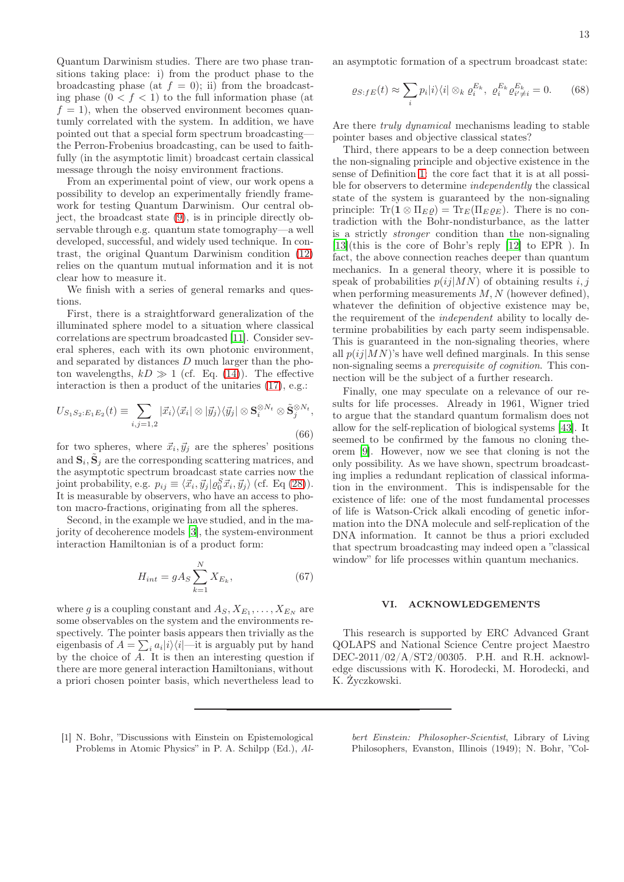Quantum Darwinism studies. There are two phase transitions taking place: i) from the product phase to the broadcasting phase (at  $f = 0$ ); ii) from the broadcasting phase  $(0 < f < 1)$  to the full information phase (at  $f = 1$ , when the observed environment becomes quantumly correlated with the system. In addition, we have pointed out that a special form spectrum broadcasting the Perron-Frobenius broadcasting, can be used to faithfully (in the asymptotic limit) broadcast certain classical message through the noisy environment fractions.

From an experimental point of view, our work opens a possibility to develop an experimentally friendly framework for testing Quantum Darwinism. Our central object, the broadcast state [\(9\)](#page-3-1), is in principle directly observable through e.g. quantum state tomography—a well developed, successful, and widely used technique. In contrast, the original Quantum Darwinism condition [\(12\)](#page-4-1) relies on the quantum mutual information and it is not clear how to measure it.

We finish with a series of general remarks and questions.

First, there is a straightforward generalization of the illuminated sphere model to a situation where classical correlations are spectrum broadcasted [\[11\]](#page-13-9). Consider several spheres, each with its own photonic environment, and separated by distances D much larger than the photon wavelengths,  $kD \gg 1$  (cf. Eq. [\(14\)](#page-4-2)). The effective interaction is then a product of the unitaries [\(17\)](#page-5-1), e.g.:

$$
U_{S_1S_2:E_1E_2}(t) \equiv \sum_{i,j=1,2} |\vec{x}_i\rangle\langle\vec{x}_i| \otimes |\vec{y}_j\rangle\langle\vec{y}_j| \otimes \mathbf{S}_i^{\otimes N_t} \otimes \tilde{\mathbf{S}}_j^{\otimes N_t},\tag{66}
$$

for two spheres, where  $\vec{x}_i, \vec{y}_j$  are the spheres' positions and  $\mathbf{S}_i$ ,  $\tilde{\mathbf{S}}_j$  are the corresponding scattering matrices, and the asymptotic spectrum broadcast state carries now the joint probability, e.g.  $p_{ij} \equiv \langle \vec{x}_i, \vec{y}_j | \varrho_0^S \vec{x}_i, \vec{y}_j \rangle$  (cf. Eq [\(28\)](#page-7-5)). It is measurable by observers, who have an access to photon macro-fractions, originating from all the spheres.

Second, in the example we have studied, and in the majority of decoherence models [\[3\]](#page-13-1), the system-environment interaction Hamiltonian is of a product form:

$$
H_{int} = gA_S \sum_{k=1}^{N} X_{E_k},
$$
\n(67)

where g is a coupling constant and  $A_S, X_{E_1}, \ldots, X_{E_N}$  are some observables on the system and the environments respectively. The pointer basis appears then trivially as the eigenbasis of  $A = \sum_i a_i |i\rangle\langle i|$ —it is arguably put by hand by the choice of  $\overline{A}$ . It is then an interesting question if there are more general interaction Hamiltonians, without a priori chosen pointer basis, which nevertheless lead to an asymptotic formation of a spectrum broadcast state:

$$
\varrho_{S:fE}(t) \approx \sum_{i} p_i |i\rangle\langle i| \otimes_k \varrho_i^{E_k}, \ \varrho_i^{E_k} \varrho_{i' \neq i}^{E_k} = 0. \tag{68}
$$

Are there truly dynamical mechanisms leading to stable pointer bases and objective classical states?

Third, there appears to be a deep connection between the non-signaling principle and objective existence in the sense of Definition [1:](#page-1-0) the core fact that it is at all possible for observers to determine independently the classical state of the system is guaranteed by the non-signaling principle:  $\text{Tr}(\mathbf{1} \otimes \Pi_E \varrho) = \text{Tr}_E(\Pi_E \varrho_E)$ . There is no contradiction with the Bohr-nondisturbance, as the latter is a strictly stronger condition than the non-signaling [\[13\]](#page-13-11)(this is the core of Bohr's reply [\[12\]](#page-13-10) to EPR ). In fact, the above connection reaches deeper than quantum mechanics. In a general theory, where it is possible to speak of probabilities  $p(i|MN)$  of obtaining results i, j when performing measurements  $M, N$  (however defined). whatever the definition of objective existence may be, the requirement of the independent ability to locally determine probabilities by each party seem indispensable. This is guaranteed in the non-signaling theories, where all  $p(i|MN)$ 's have well defined marginals. In this sense non-signaling seems a prerequisite of cognition. This connection will be the subject of a further research.

Finally, one may speculate on a relevance of our results for life processes. Already in 1961, Wigner tried to argue that the standard quantum formalism does not allow for the self-replication of biological systems [\[43\]](#page-14-3). It seemed to be confirmed by the famous no cloning theorem [\[9\]](#page-13-7). However, now we see that cloning is not the only possibility. As we have shown, spectrum broadcasting implies a redundant replication of classical information in the environment. This is indispensable for the existence of life: one of the most fundamental processes of life is Watson-Crick alkali encoding of genetic information into the DNA molecule and self-replication of the DNA information. It cannot be thus a priori excluded that spectrum broadcasting may indeed open a "classical window" for life processes within quantum mechanics.

#### VI. ACKNOWLEDGEMENTS

This research is supported by ERC Advanced Grant QOLAPS and National Science Centre project Maestro DEC-2011/02/A/ST2/00305. P.H. and R.H. acknowledge discussions with K. Horodecki, M. Horodecki, and K. Życzkowski.

<span id="page-12-0"></span>[1] N. Bohr, "Discussions with Einstein on Epistemological Problems in Atomic Physics" in P. A. Schilpp (Ed.), Albert Einstein: Philosopher-Scientist, Library of Living Philosophers, Evanston, Illinois (1949); N. Bohr, "Col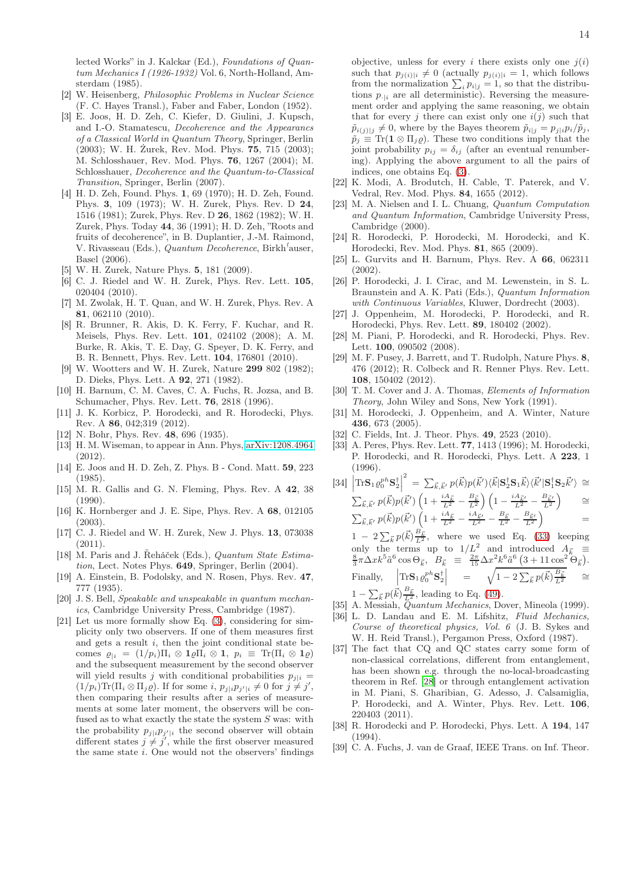lected Works" in J. Kalckar (Ed.), Foundations of Quantum Mechanics I (1926-1932) Vol. 6, North-Holland, Amsterdam (1985).

- <span id="page-13-0"></span>[2] W. Heisenberg, Philosophic Problems in Nuclear Science (F. C. Hayes Transl.), Faber and Faber, London (1952).
- <span id="page-13-1"></span>[3] E. Joos, H. D. Zeh, C. Kiefer, D. Giulini, J. Kupsch, and I.-O. Stamatescu, Decoherence and the Appearancs of a Classical World in Quantum Theory, Springer, Berlin (2003); W. H. Żurek, Rev. Mod. Phys. 75, 715 (2003); M. Schlosshauer, Rev. Mod. Phys. 76, 1267 (2004); M. Schlosshauer, Decoherence and the Quantum-to-Classical Transition, Springer, Berlin (2007).
- <span id="page-13-2"></span>[4] H. D. Zeh, Found. Phys. 1, 69 (1970); H. D. Zeh, Found. Phys. 3, 109 (1973); W. H. Zurek, Phys. Rev. D 24, 1516 (1981); Zurek, Phys. Rev. D 26, 1862 (1982); W. H. Zurek, Phys. Today 44, 36 (1991); H. D. Zeh, "Roots and fruits of decoherence", in B. Duplantier, J.-M. Raimond, V. Rivasseau (Eds.), Quantum Decoherence, Birkh<sup>5</sup>auser, Basel (2006).
- <span id="page-13-3"></span>W. H. Zurek, Nature Phys. 5, 181 (2009).
- <span id="page-13-4"></span>[6] C. J. Riedel and W. H. Zurek, Phys. Rev. Lett. 105, 020404 (2010).
- <span id="page-13-5"></span>[7] M. Zwolak, H. T. Quan, and W. H. Zurek, Phys. Rev. A 81, 062110 (2010).
- <span id="page-13-6"></span>[8] R. Brunner, R. Akis, D. K. Ferry, F. Kuchar, and R. Meisels, Phys. Rev. Lett. 101, 024102 (2008); A. M. Burke, R. Akis, T. E. Day, G. Speyer, D. K. Ferry, and B. R. Bennett, Phys. Rev. Lett. 104, 176801 (2010).
- <span id="page-13-7"></span>[9] W. Wootters and W. H. Zurek, Nature 299 802 (1982); D. Dieks, Phys. Lett. A 92, 271 (1982).
- <span id="page-13-8"></span>[10] H. Barnum, C. M. Caves, C. A. Fuchs, R. Jozsa, and B. Schumacher, Phys. Rev. Lett. 76, 2818 (1996).
- <span id="page-13-9"></span>[11] J. K. Korbicz, P. Horodecki, and R. Horodecki, Phys. Rev. A 86, 042;319 (2012).
- <span id="page-13-10"></span>[12] N. Bohr, Phys. Rev. **48**, 696 (1935).
- <span id="page-13-11"></span>[13] H. M. Wiseman, to appear in Ann. Phys, [arXiv:1208.4964](http://arxiv.org/abs/1208.4964)  $(2012)$
- <span id="page-13-12"></span>[14] E. Joos and H. D. Zeh, Z. Phys. B - Cond. Matt. 59, 223 (1985).
- <span id="page-13-30"></span>[15] M. R. Gallis and G. N. Fleming, Phys. Rev. A 42, 38  $(1990)$ .
- <span id="page-13-31"></span>[16] K. Hornberger and J. E. Sipe, Phys. Rev. A 68, 012105 (2003).
- <span id="page-13-13"></span>[17] C. J. Riedel and W. H. Zurek, New J. Phys. 13, 073038  $(2011).$
- <span id="page-13-14"></span>[18] M. Paris and J. Řeháček (Eds.), Quantum State Estimation, Lect. Notes Phys. 649, Springer, Berlin (2004).
- <span id="page-13-15"></span>[19] A. Einstein, B. Podolsky, and N. Rosen, Phys. Rev. 47, 777 (1935).
- <span id="page-13-16"></span>[20] J. S. Bell, Speakable and unspeakable in quantum mechanics, Cambridge University Press, Cambridge (1987).
- <span id="page-13-17"></span>[21] Let us more formally show Eq. [\(3\)](#page-2-2), considering for simplicity only two observers. If one of them measures first and gets a result i, then the joint conditional state becomes  $\varrho_{i} = (1/p_i) \Pi_i \otimes \mathbf{1} \varrho \Pi_i \otimes \mathbf{1}$ ,  $p_i \equiv \text{Tr}(\Pi_i \otimes \mathbf{1} \varrho)$ and the subsequent measurement by the second observer will yield results j with conditional probabilities  $p_{i|i} =$  $(1/p_i)\text{Tr}(\Pi_i \otimes \Pi_j \varrho)$ . If for some  $i, p_{j|i}p_{j'|i} \neq 0$  for  $j \neq j'$ , then comparing their results after a series of measurements at some later moment, the observers will be confused as to what exactly the state the system  $S$  was: with the probability  $p_{j|i}p_{j'|i}$  the second observer will obtain different states  $j \neq j'$ , while the first observer measured the same state  $i$ . One would not the observers' findings

objective, unless for every i there exists only one  $j(i)$ such that  $p_{j(i)|i} \neq 0$  (actually  $p_{j(i)|i} = 1$ , which follows from the normalization  $\sum_i p_{i|j} = 1$ , so that the distributions  $p_{\cdot|i}$  are all deterministic). Reversing the measurement order and applying the same reasoning, we obtain that for every j there can exist only one  $i(j)$  such that  $\tilde{p}_{i(j)|j} \neq 0$ , where by the Bayes theorem  $\tilde{p}_{i|j} = p_{j|i}p_i/\tilde{p}_j$ ,  $\tilde{p}_j \equiv \text{Tr}(\mathbf{1} \otimes \Pi_j \varrho)$ . These two conditions imply that the joint probability  $p_{ij} = \delta_{ij}$  (after an eventual renumbering). Applying the above argument to all the pairs of indices, one obtains Eq. [\(3\)](#page-2-2).

- <span id="page-13-18"></span>[22] K. Modi, A. Brodutch, H. Cable, T. Paterek, and V. Vedral, Rev. Mod. Phys. 84, 1655 (2012).
- <span id="page-13-19"></span>[23] M. A. Nielsen and I. L. Chuang, Quantum Computation and Quantum Information, Cambridge University Press, Cambridge (2000).
- <span id="page-13-20"></span>[24] R. Horodecki, P. Horodecki, M. Horodecki, and K. Horodecki, Rev. Mod. Phys. 81, 865 (2009).
- <span id="page-13-21"></span>[25] L. Gurvits and H. Barnum, Phys. Rev. A 66, 062311 (2002).
- <span id="page-13-22"></span>[26] P. Horodecki, J. I. Cirac, and M. Lewenstein, in S. L. Braunstein and A. K. Pati (Eds.), Quantum Information with Continuous Variables, Kluwer, Dordrecht (2003).
- <span id="page-13-23"></span>[27] J. Oppenheim, M. Horodecki, P. Horodecki, and R. Horodecki, Phys. Rev. Lett. 89, 180402 (2002).
- <span id="page-13-24"></span>[28] M. Piani, P. Horodecki, and R. Horodecki, Phys. Rev. Lett. **100**, 090502 (2008).
- <span id="page-13-25"></span>[29] M. F. Pusey, J. Barrett, and T. Rudolph, Nature Phys. 8, 476 (2012); R. Colbeck and R. Renner Phys. Rev. Lett. 108, 150402 (2012).
- <span id="page-13-26"></span>[30] T. M. Cover and J. A. Thomas, Elements of Information Theory, John Wiley and Sons, New York (1991).
- <span id="page-13-27"></span>[31] M. Horodecki, J. Oppenheim, and A. Winter, Nature 436, 673 (2005).
- <span id="page-13-28"></span>[32] C. Fields, Int. J. Theor. Phys. **49**, 2523 (2010).
- <span id="page-13-29"></span>[33] A. Peres, Phys. Rev. Lett. 77, 1413 (1996); M. Horodecki, P. Horodecki, and R. Horodecki, Phys. Lett. A 223, 1 (1996).

<span id="page-13-36"></span>
$$
[34] \left| \text{Tr} \mathbf{S}_1 \varrho_0^{ph} \mathbf{S}_2^{\dagger} \right|^2 = \sum_{\vec{k}, \vec{k}'} p(\vec{k}) p(\vec{k}') \langle \vec{k} | \mathbf{S}_2^{\dagger} \mathbf{S}_1 \vec{k} \rangle \langle \vec{k}' | \mathbf{S}_1^{\dagger} \mathbf{S}_2 \vec{k}' \rangle \cong
$$
  
\n
$$
\sum_{\vec{k}, \vec{k}'} p(\vec{k}) p(\vec{k}') \left( 1 + \frac{iA_{\vec{k}}}{L^2} - \frac{B_{\vec{k}}}{L^2} \right) \left( 1 - \frac{iA_{\vec{k}'}}{L^2} - \frac{B_{\vec{k}'}}{L^2} \right) \cong
$$
  
\n
$$
\sum_{\vec{k}, \vec{k}'} p(\vec{k}) p(\vec{k}') \left( 1 + \frac{iA_{\vec{k}}}{L^2} - \frac{iA_{\vec{k}'}}{L^2} - \frac{B_{\vec{k}}}{L^2} - \frac{B_{\vec{k}'}}{L^2} \right) =
$$
  
\n
$$
1 - 2 \sum_{\vec{k}} p(\vec{k}) \frac{B_{\vec{k}}}{L^2}, \text{ where we used Eq. (33) keeping only the terms up to } 1/L^2 \text{ and introduced } A_{\vec{k}} \equiv
$$
  
\n
$$
\frac{8}{3} \pi \Delta x k^5 \tilde{a}^6 \cos \Theta_{\vec{k}}, B_{\vec{k}} \equiv \frac{2\pi}{15} \Delta x^2 k^6 \tilde{a}^6 \left( 3 + 11 \cos^2 \Theta_{\vec{k}} \right).
$$
  
\nFinally, 
$$
\left| \text{Tr} \mathbf{S}_1 \varrho_0^{ph} \mathbf{S}_2^{\dagger} \right| = \sqrt{1 - 2 \sum_{\vec{k}} p(\vec{k}) \frac{B_{\vec{k}}}{L^2}} \cong
$$
  
\n
$$
1 - \sum_{\vec{k}} p(\vec{k}) \frac{B_{\vec{k}}}{L^2} \text{ leading to Eq. (40)}
$$

 $1 - \sum_{\vec{k}} p(\vec{k}) \frac{B_{\vec{k}}}{L^2}$ , leading to Eq. [\(49\)](#page-9-5).

- <span id="page-13-32"></span>[35] A. Messiah, Quantum Mechanics, Dover, Mineola (1999).
- <span id="page-13-33"></span>[36] L. D. Landau and E. M. Lifshitz, Fluid Mechanics, Course of theoretical physics, Vol. 6 (J. B. Sykes and W. H. Reid Transl.), Pergamon Press, Oxford (1987).
- <span id="page-13-34"></span>[37] The fact that CQ and QC states carry some form of non-classical correlations, different from entanglement, has been shown e.g. through the no-local-broadcasting theorem in Ref. [\[28](#page-13-24)] or through entanglement activation in M. Piani, S. Gharibian, G. Adesso, J. Calsamiglia, P. Horodecki, and A. Winter, Phys. Rev. Lett. 106, 220403 (2011).
- <span id="page-13-35"></span>[38] R. Horodecki and P. Horodecki, Phys. Lett. A 194, 147 (1994).
- <span id="page-13-37"></span>[39] C. A. Fuchs, J. van de Graaf, IEEE Trans. on Inf. Theor.